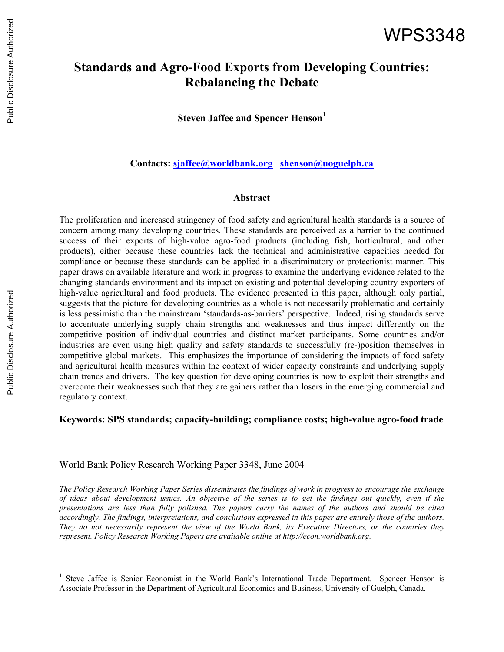# **Standards and Agro-Food Exports from Developing Countries: Rebalancing the Debate**

**Steven Jaffee and Spencer Henson**<sup>1</sup>

**Contacts: sjaffee@worldbank.org shenson@uoguelph.ca**

#### **Abstract**

The proliferation and increased stringency of food safety and agricultural health standards is a source of concern among many developing countries. These standards are perceived as a barrier to the continued success of their exports of high-value agro-food products (including fish, horticultural, and other products), either because these countries lack the technical and administrative capacities needed for compliance or because these standards can be applied in a discriminatory or protectionist manner. This paper draws on available literature and work in progress to examine the underlying evidence related to the changing standards environment and its impact on existing and potential developing country exporters of high-value agricultural and food products. The evidence presented in this paper, although only partial, suggests that the picture for developing countries as a whole is not necessarily problematic and certainly is less pessimistic than the mainstream 'standards-as-barriers' perspective. Indeed, rising standards serve to accentuate underlying supply chain strengths and weaknesses and thus impact differently on the competitive position of individual countries and distinct market participants. Some countries and/or industries are even using high quality and safety standards to successfully (re-)position themselves in competitive global markets. This emphasizes the importance of considering the impacts of food safety and agricultural health measures within the context of wider capacity constraints and underlying supply chain trends and drivers. The key question for developing countries is how to exploit their strengths and overcome their weaknesses such that they are gainers rather than losers in the emerging commercial and regulatory context.

#### **Keywords: SPS standards; capacity-building; compliance costs; high-value agro-food trade**

World Bank Policy Research Working Paper 3348, June 2004

*The Policy Research Working Paper Series disseminates the findings of work in progress to encourage the exchange of ideas about development issues. An objective of the series is to get the findings out quickly, even if the presentations are less than fully polished. The papers carry the names of the authors and should be cited accordingly. The findings, interpretations, and conclusions expressed in this paper are entirely those of the authors. They do not necessarily represent the view of the World Bank, its Executive Directors, or the countries they represent. Policy Research Working Papers are available online at http://econ.worldbank.org.* 

<sup>&</sup>lt;sup>1</sup> Steve Jaffee is Senior Economist in the World Bank's International Trade Department. Spencer Henson is Associate Professor in the Department of Agricultural Economics and Business, University of Guelph, Canada.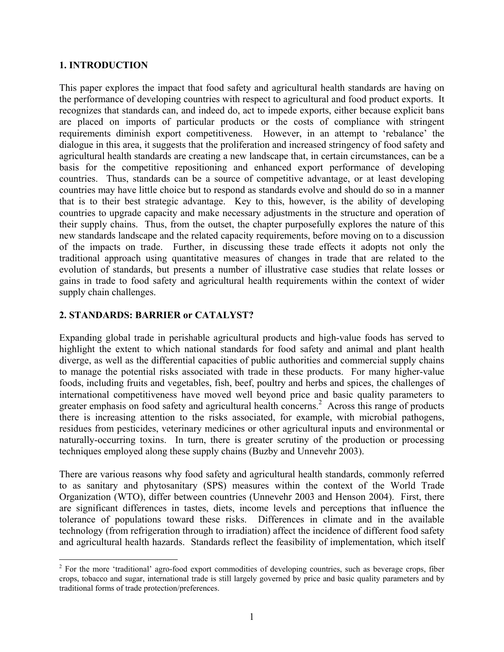#### **1. INTRODUCTION**

This paper explores the impact that food safety and agricultural health standards are having on the performance of developing countries with respect to agricultural and food product exports. It recognizes that standards can, and indeed do, act to impede exports, either because explicit bans are placed on imports of particular products or the costs of compliance with stringent requirements diminish export competitiveness. However, in an attempt to 'rebalance' the dialogue in this area, it suggests that the proliferation and increased stringency of food safety and agricultural health standards are creating a new landscape that, in certain circumstances, can be a basis for the competitive repositioning and enhanced export performance of developing countries. Thus, standards can be a source of competitive advantage, or at least developing countries may have little choice but to respond as standards evolve and should do so in a manner that is to their best strategic advantage. Key to this, however, is the ability of developing countries to upgrade capacity and make necessary adjustments in the structure and operation of their supply chains. Thus, from the outset, the chapter purposefully explores the nature of this new standards landscape and the related capacity requirements, before moving on to a discussion of the impacts on trade. Further, in discussing these trade effects it adopts not only the traditional approach using quantitative measures of changes in trade that are related to the evolution of standards, but presents a number of illustrative case studies that relate losses or gains in trade to food safety and agricultural health requirements within the context of wider supply chain challenges.

# **2. STANDARDS: BARRIER or CATALYST?**

Expanding global trade in perishable agricultural products and high-value foods has served to highlight the extent to which national standards for food safety and animal and plant health diverge, as well as the differential capacities of public authorities and commercial supply chains to manage the potential risks associated with trade in these products. For many higher-value foods, including fruits and vegetables, fish, beef, poultry and herbs and spices, the challenges of international competitiveness have moved well beyond price and basic quality parameters to greater emphasis on food safety and agricultural health concerns.<sup>2</sup> Across this range of products there is increasing attention to the risks associated, for example, with microbial pathogens, residues from pesticides, veterinary medicines or other agricultural inputs and environmental or naturally-occurring toxins. In turn, there is greater scrutiny of the production or processing techniques employed along these supply chains (Buzby and Unnevehr 2003).

There are various reasons why food safety and agricultural health standards, commonly referred to as sanitary and phytosanitary (SPS) measures within the context of the World Trade Organization (WTO), differ between countries (Unnevehr 2003 and Henson 2004). First, there are significant differences in tastes, diets, income levels and perceptions that influence the tolerance of populations toward these risks. Differences in climate and in the available technology (from refrigeration through to irradiation) affect the incidence of different food safety and agricultural health hazards. Standards reflect the feasibility of implementation, which itself

 $\overline{a}$  $2^2$  For the more 'traditional' agro-food export commodities of developing countries, such as beverage crops, fiber crops, tobacco and sugar, international trade is still largely governed by price and basic quality parameters and by traditional forms of trade protection/preferences.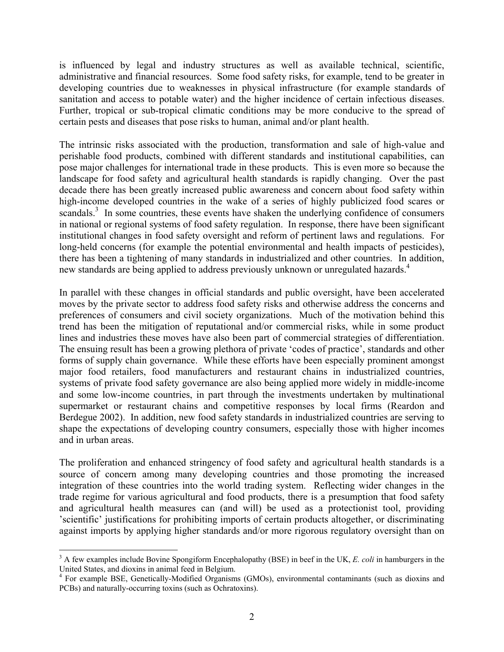is influenced by legal and industry structures as well as available technical, scientific, administrative and financial resources. Some food safety risks, for example, tend to be greater in developing countries due to weaknesses in physical infrastructure (for example standards of sanitation and access to potable water) and the higher incidence of certain infectious diseases. Further, tropical or sub-tropical climatic conditions may be more conducive to the spread of certain pests and diseases that pose risks to human, animal and/or plant health.

The intrinsic risks associated with the production, transformation and sale of high-value and perishable food products, combined with different standards and institutional capabilities, can pose major challenges for international trade in these products. This is even more so because the landscape for food safety and agricultural health standards is rapidly changing. Over the past decade there has been greatly increased public awareness and concern about food safety within high-income developed countries in the wake of a series of highly publicized food scares or scandals.<sup>3</sup> In some countries, these events have shaken the underlying confidence of consumers in national or regional systems of food safety regulation. In response, there have been significant institutional changes in food safety oversight and reform of pertinent laws and regulations. For long-held concerns (for example the potential environmental and health impacts of pesticides), there has been a tightening of many standards in industrialized and other countries. In addition, new standards are being applied to address previously unknown or unregulated hazards.<sup>4</sup>

In parallel with these changes in official standards and public oversight, have been accelerated moves by the private sector to address food safety risks and otherwise address the concerns and preferences of consumers and civil society organizations. Much of the motivation behind this trend has been the mitigation of reputational and/or commercial risks, while in some product lines and industries these moves have also been part of commercial strategies of differentiation. The ensuing result has been a growing plethora of private 'codes of practice', standards and other forms of supply chain governance. While these efforts have been especially prominent amongst major food retailers, food manufacturers and restaurant chains in industrialized countries, systems of private food safety governance are also being applied more widely in middle-income and some low-income countries, in part through the investments undertaken by multinational supermarket or restaurant chains and competitive responses by local firms (Reardon and Berdegue 2002). In addition, new food safety standards in industrialized countries are serving to shape the expectations of developing country consumers, especially those with higher incomes and in urban areas.

The proliferation and enhanced stringency of food safety and agricultural health standards is a source of concern among many developing countries and those promoting the increased integration of these countries into the world trading system. Reflecting wider changes in the trade regime for various agricultural and food products, there is a presumption that food safety and agricultural health measures can (and will) be used as a protectionist tool, providing 'scientific' justifications for prohibiting imports of certain products altogether, or discriminating against imports by applying higher standards and/or more rigorous regulatory oversight than on

<u>.</u>

<sup>&</sup>lt;sup>3</sup> A few examples include Bovine Spongiform Encephalopathy (BSE) in beef in the UK, *E. coli* in hamburgers in the United States, and dioxins in animal feed in Belgium. 4

For example BSE, Genetically-Modified Organisms (GMOs), environmental contaminants (such as dioxins and PCBs) and naturally-occurring toxins (such as Ochratoxins).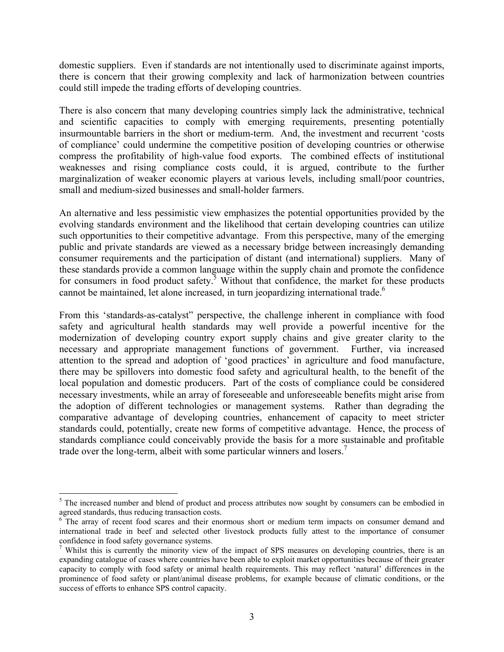domestic suppliers. Even if standards are not intentionally used to discriminate against imports, there is concern that their growing complexity and lack of harmonization between countries could still impede the trading efforts of developing countries.

There is also concern that many developing countries simply lack the administrative, technical and scientific capacities to comply with emerging requirements, presenting potentially insurmountable barriers in the short or medium-term. And, the investment and recurrent 'costs of compliance' could undermine the competitive position of developing countries or otherwise compress the profitability of high-value food exports. The combined effects of institutional weaknesses and rising compliance costs could, it is argued, contribute to the further marginalization of weaker economic players at various levels, including small/poor countries, small and medium-sized businesses and small-holder farmers.

An alternative and less pessimistic view emphasizes the potential opportunities provided by the evolving standards environment and the likelihood that certain developing countries can utilize such opportunities to their competitive advantage. From this perspective, many of the emerging public and private standards are viewed as a necessary bridge between increasingly demanding consumer requirements and the participation of distant (and international) suppliers. Many of these standards provide a common language within the supply chain and promote the confidence for consumers in food product safety.<sup>5</sup> Without that confidence, the market for these products cannot be maintained, let alone increased, in turn jeopardizing international trade.<sup>6</sup>

From this 'standards-as-catalyst" perspective, the challenge inherent in compliance with food safety and agricultural health standards may well provide a powerful incentive for the modernization of developing country export supply chains and give greater clarity to the necessary and appropriate management functions of government. Further, via increased attention to the spread and adoption of 'good practices' in agriculture and food manufacture, there may be spillovers into domestic food safety and agricultural health, to the benefit of the local population and domestic producers. Part of the costs of compliance could be considered necessary investments, while an array of foreseeable and unforeseeable benefits might arise from the adoption of different technologies or management systems. Rather than degrading the comparative advantage of developing countries, enhancement of capacity to meet stricter standards could, potentially, create new forms of competitive advantage. Hence, the process of standards compliance could conceivably provide the basis for a more sustainable and profitable trade over the long-term, albeit with some particular winners and losers.<sup>7</sup>

<sup>&</sup>lt;sup>5</sup> The increased number and blend of product and process attributes now sought by consumers can be embodied in agreed standards, thus reducing transaction costs.

<sup>&</sup>lt;sup>6</sup> The array of recent food scares and their enormous short or medium term impacts on consumer demand and international trade in beef and selected other livestock products fully attest to the importance of consumer confidence in food safety governance systems.

<sup>&</sup>lt;sup>7</sup> Whilst this is currently the minority view of the impact of SPS measures on developing countries, there is an expanding catalogue of cases where countries have been able to exploit market opportunities because of their greater capacity to comply with food safety or animal health requirements. This may reflect 'natural' differences in the prominence of food safety or plant/animal disease problems, for example because of climatic conditions, or the success of efforts to enhance SPS control capacity.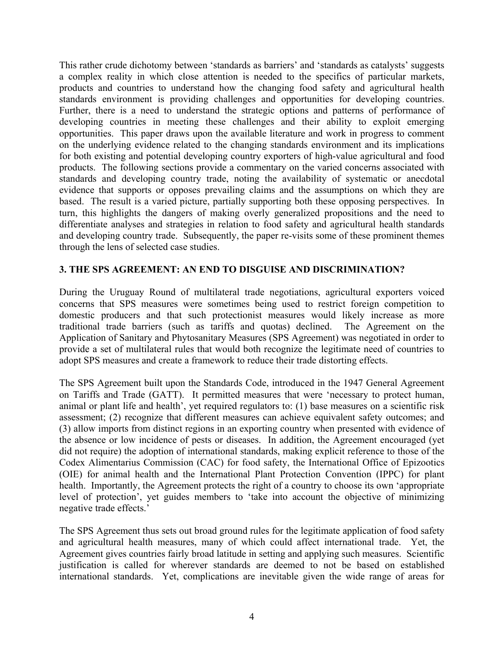This rather crude dichotomy between 'standards as barriers' and 'standards as catalysts' suggests a complex reality in which close attention is needed to the specifics of particular markets, products and countries to understand how the changing food safety and agricultural health standards environment is providing challenges and opportunities for developing countries. Further, there is a need to understand the strategic options and patterns of performance of developing countries in meeting these challenges and their ability to exploit emerging opportunities. This paper draws upon the available literature and work in progress to comment on the underlying evidence related to the changing standards environment and its implications for both existing and potential developing country exporters of high-value agricultural and food products. The following sections provide a commentary on the varied concerns associated with standards and developing country trade, noting the availability of systematic or anecdotal evidence that supports or opposes prevailing claims and the assumptions on which they are based. The result is a varied picture, partially supporting both these opposing perspectives. In turn, this highlights the dangers of making overly generalized propositions and the need to differentiate analyses and strategies in relation to food safety and agricultural health standards and developing country trade. Subsequently, the paper re-visits some of these prominent themes through the lens of selected case studies.

#### **3. THE SPS AGREEMENT: AN END TO DISGUISE AND DISCRIMINATION?**

During the Uruguay Round of multilateral trade negotiations, agricultural exporters voiced concerns that SPS measures were sometimes being used to restrict foreign competition to domestic producers and that such protectionist measures would likely increase as more traditional trade barriers (such as tariffs and quotas) declined. The Agreement on the Application of Sanitary and Phytosanitary Measures (SPS Agreement) was negotiated in order to provide a set of multilateral rules that would both recognize the legitimate need of countries to adopt SPS measures and create a framework to reduce their trade distorting effects.

The SPS Agreement built upon the Standards Code, introduced in the 1947 General Agreement on Tariffs and Trade (GATT). It permitted measures that were 'necessary to protect human, animal or plant life and health', yet required regulators to: (1) base measures on a scientific risk assessment; (2) recognize that different measures can achieve equivalent safety outcomes; and (3) allow imports from distinct regions in an exporting country when presented with evidence of the absence or low incidence of pests or diseases. In addition, the Agreement encouraged (yet did not require) the adoption of international standards, making explicit reference to those of the Codex Alimentarius Commission (CAC) for food safety, the International Office of Epizootics (OIE) for animal health and the International Plant Protection Convention (IPPC) for plant health. Importantly, the Agreement protects the right of a country to choose its own 'appropriate level of protection', yet guides members to 'take into account the objective of minimizing negative trade effects.'

The SPS Agreement thus sets out broad ground rules for the legitimate application of food safety and agricultural health measures, many of which could affect international trade. Yet, the Agreement gives countries fairly broad latitude in setting and applying such measures. Scientific justification is called for wherever standards are deemed to not be based on established international standards. Yet, complications are inevitable given the wide range of areas for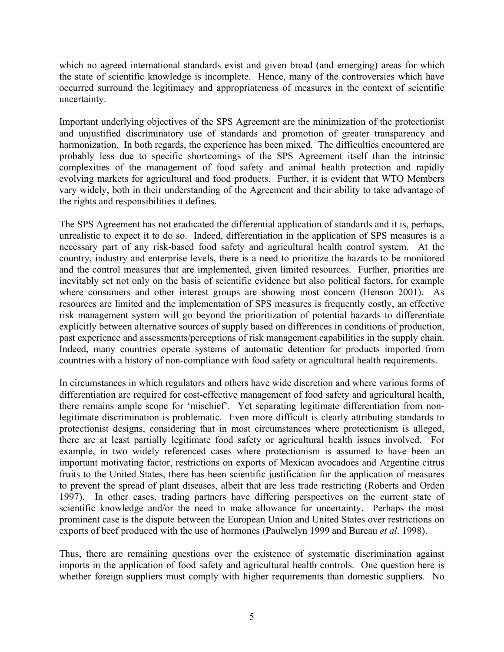which no agreed international standards exist and given broad (and emerging) areas for which the state of scientific knowledge is incomplete. Hence, many of the controversies which have occurred surround the legitimacy and appropriateness of measures in the context of scientific uncertainty.

Important underlying objectives of the SPS Agreement are the minimization of the protectionist and unjustified discriminatory use of standards and promotion of greater transparency and harmonization. In both regards, the experience has been mixed. The difficulties encountered are probably less due to specific shortcomings of the SPS Agreement itself than the intrinsic complexities of the management of food safety and animal health protection and rapidly evolving markets for agricultural and food products. Further, it is evident that WTO Members vary widely, both in their understanding of the Agreement and their ability to take advantage of the rights and responsibilities it defines.

The SPS Agreement has not eradicated the differential application of standards and it is, perhaps, unrealistic to expect it to do so. Indeed, differentiation in the application of SPS measures is a necessary part of any risk-based food safety and agricultural health control system. At the country, industry and enterprise levels, there is a need to prioritize the hazards to be monitored and the control measures that are implemented, given limited resources. Further, priorities are inevitably set not only on the basis of scientific evidence but also political factors, for example where consumers and other interest groups are showing most concern (Henson 2001). As resources are limited and the implementation of SPS measures is frequently costly, an effective risk management system will go beyond the prioritization of potential hazards to differentiate explicitly between alternative sources of supply based on differences in conditions of production, past experience and assessments/perceptions of risk management capabilities in the supply chain. Indeed, many countries operate systems of automatic detention for products imported from countries with a history of non-compliance with food safety or agricultural health requirements.

In circumstances in which regulators and others have wide discretion and where various forms of differentiation are required for cost-effective management of food safety and agricultural health, there remains ample scope for 'mischief'. Yet separating legitimate differentiation from nonlegitimate discrimination is problematic. Even more difficult is clearly attributing standards to protectionist designs, considering that in most circumstances where protectionism is alleged, there are at least partially legitimate food safety or agricultural health issues involved. For example, in two widely referenced cases where protectionism is assumed to have been an important motivating factor, restrictions on exports of Mexican avocadoes and Argentine citrus fruits to the United States, there has been scientific justification for the application of measures to prevent the spread of plant diseases, albeit that are less trade restricting (Roberts and Orden 1997). In other cases, trading partners have differing perspectives on the current state of scientific knowledge and/or the need to make allowance for uncertainty. Perhaps the most prominent case is the dispute between the European Union and United States over restrictions on exports of beef produced with the use of hormones (Paulwelyn 1999 and Bureau *et al*. 1998).

Thus, there are remaining questions over the existence of systematic discrimination against imports in the application of food safety and agricultural health controls. One question here is whether foreign suppliers must comply with higher requirements than domestic suppliers. No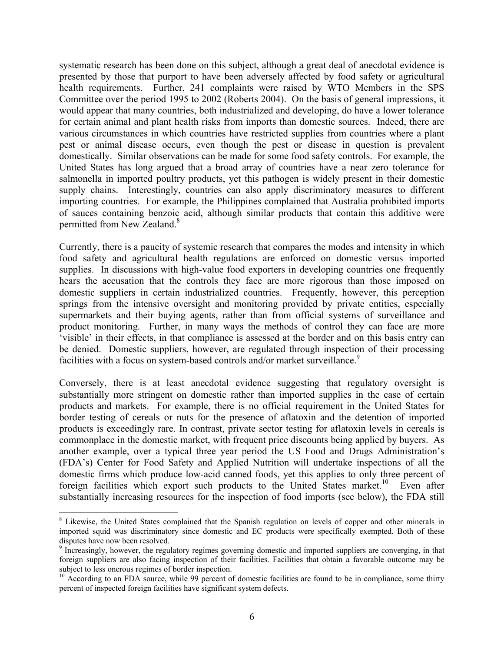systematic research has been done on this subject, although a great deal of anecdotal evidence is presented by those that purport to have been adversely affected by food safety or agricultural health requirements. Further, 241 complaints were raised by WTO Members in the SPS Committee over the period 1995 to 2002 (Roberts 2004). On the basis of general impressions, it would appear that many countries, both industrialized and developing, do have a lower tolerance for certain animal and plant health risks from imports than domestic sources. Indeed, there are various circumstances in which countries have restricted supplies from countries where a plant pest or animal disease occurs, even though the pest or disease in question is prevalent domestically. Similar observations can be made for some food safety controls. For example, the United States has long argued that a broad array of countries have a near zero tolerance for salmonella in imported poultry products, yet this pathogen is widely present in their domestic supply chains. Interestingly, countries can also apply discriminatory measures to different importing countries. For example, the Philippines complained that Australia prohibited imports of sauces containing benzoic acid, although similar products that contain this additive were permitted from New Zealand.<sup>8</sup>

Currently, there is a paucity of systemic research that compares the modes and intensity in which food safety and agricultural health regulations are enforced on domestic versus imported supplies. In discussions with high-value food exporters in developing countries one frequently hears the accusation that the controls they face are more rigorous than those imposed on domestic suppliers in certain industrialized countries. Frequently, however, this perception springs from the intensive oversight and monitoring provided by private entities, especially supermarkets and their buying agents, rather than from official systems of surveillance and product monitoring. Further, in many ways the methods of control they can face are more 'visible' in their effects, in that compliance is assessed at the border and on this basis entry can be denied. Domestic suppliers, however, are regulated through inspection of their processing facilities with a focus on system-based controls and/or market surveillance.<sup>9</sup>

Conversely, there is at least anecdotal evidence suggesting that regulatory oversight is substantially more stringent on domestic rather than imported supplies in the case of certain products and markets. For example, there is no official requirement in the United States for border testing of cereals or nuts for the presence of aflatoxin and the detention of imported products is exceedingly rare. In contrast, private sector testing for aflatoxin levels in cereals is commonplace in the domestic market, with frequent price discounts being applied by buyers. As another example, over a typical three year period the US Food and Drugs Administration's (FDA's) Center for Food Safety and Applied Nutrition will undertake inspections of all the domestic firms which produce low-acid canned foods, yet this applies to only three percent of foreign facilities which export such products to the United States market.<sup>10</sup> Even after substantially increasing resources for the inspection of food imports (see below), the FDA still

1

<sup>&</sup>lt;sup>8</sup> Likewise, the United States complained that the Spanish regulation on levels of copper and other minerals in imported squid was discriminatory since domestic and EC products were specifically exempted. Both of these disputes have now been resolved.

<sup>&</sup>lt;sup>9</sup> Increasingly, however, the regulatory regimes governing domestic and imported suppliers are converging, in that foreign suppliers are also facing inspection of their facilities. Facilities that obtain a favorable outcome may be subject to less onerous regimes of border inspection.

<sup>&</sup>lt;sup>10</sup> According to an FDA source, while 99 percent of domestic facilities are found to be in compliance, some thirty percent of inspected foreign facilities have significant system defects.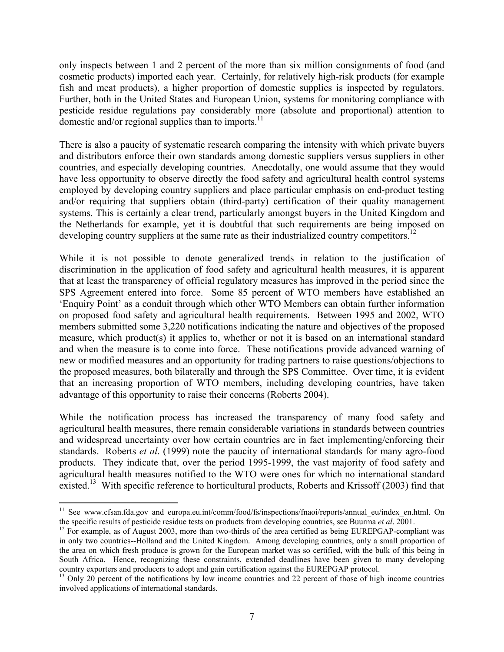only inspects between 1 and 2 percent of the more than six million consignments of food (and cosmetic products) imported each year. Certainly, for relatively high-risk products (for example fish and meat products), a higher proportion of domestic supplies is inspected by regulators. Further, both in the United States and European Union, systems for monitoring compliance with pesticide residue regulations pay considerably more (absolute and proportional) attention to domestic and/or regional supplies than to imports. $^{11}$ 

There is also a paucity of systematic research comparing the intensity with which private buyers and distributors enforce their own standards among domestic suppliers versus suppliers in other countries, and especially developing countries. Anecdotally, one would assume that they would have less opportunity to observe directly the food safety and agricultural health control systems employed by developing country suppliers and place particular emphasis on end-product testing and/or requiring that suppliers obtain (third-party) certification of their quality management systems. This is certainly a clear trend, particularly amongst buyers in the United Kingdom and the Netherlands for example, yet it is doubtful that such requirements are being imposed on developing country suppliers at the same rate as their industrialized country competitors.<sup>12</sup>

While it is not possible to denote generalized trends in relation to the justification of discrimination in the application of food safety and agricultural health measures, it is apparent that at least the transparency of official regulatory measures has improved in the period since the SPS Agreement entered into force. Some 85 percent of WTO members have established an 'Enquiry Point' as a conduit through which other WTO Members can obtain further information on proposed food safety and agricultural health requirements. Between 1995 and 2002, WTO members submitted some 3,220 notifications indicating the nature and objectives of the proposed measure, which product(s) it applies to, whether or not it is based on an international standard and when the measure is to come into force. These notifications provide advanced warning of new or modified measures and an opportunity for trading partners to raise questions/objections to the proposed measures, both bilaterally and through the SPS Committee. Over time, it is evident that an increasing proportion of WTO members, including developing countries, have taken advantage of this opportunity to raise their concerns (Roberts 2004).

While the notification process has increased the transparency of many food safety and agricultural health measures, there remain considerable variations in standards between countries and widespread uncertainty over how certain countries are in fact implementing/enforcing their standards. Roberts *et al*. (1999) note the paucity of international standards for many agro-food products. They indicate that, over the period 1995-1999, the vast majority of food safety and agricultural health measures notified to the WTO were ones for which no international standard existed.<sup>13</sup> With specific reference to horticultural products, Roberts and Krissoff (2003) find that

<sup>&</sup>lt;sup>11</sup> See www.cfsan.fda.gov and europa.eu.int/comm/food/fs/inspections/fnaoi/reports/annual eu/index en.html. On the specific results of pesticide residue tests on products from developing countries, see Buurma et al. 2001.<br><sup>12</sup> For example, as of August 2003, more than two-thirds of the area certified as being EUREPGAP-compliant was

in only two countries--Holland and the United Kingdom. Among developing countries, only a small proportion of the area on which fresh produce is grown for the European market was so certified, with the bulk of this being in South Africa. Hence, recognizing these constraints, extended deadlines have been given to many developing country exporters and producers to adopt and gain certification against the EUREPGAP protocol.

<sup>&</sup>lt;sup>13</sup> Only 20 percent of the notifications by low income countries and 22 percent of those of high income countries involved applications of international standards.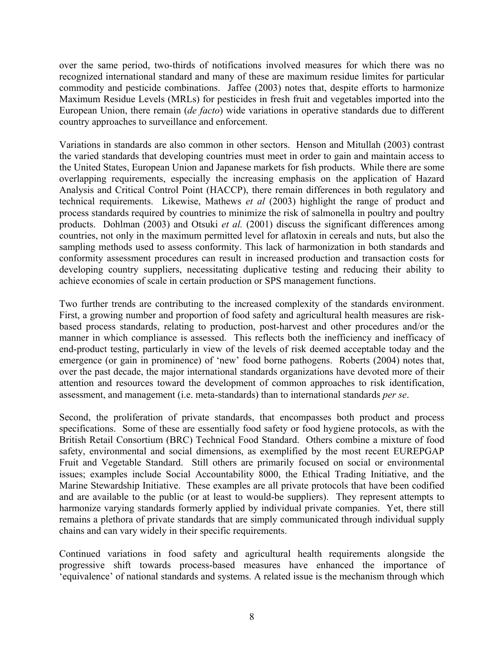over the same period, two-thirds of notifications involved measures for which there was no recognized international standard and many of these are maximum residue limites for particular commodity and pesticide combinations. Jaffee (2003) notes that, despite efforts to harmonize Maximum Residue Levels (MRLs) for pesticides in fresh fruit and vegetables imported into the European Union, there remain (*de facto*) wide variations in operative standards due to different country approaches to surveillance and enforcement.

Variations in standards are also common in other sectors. Henson and Mitullah (2003) contrast the varied standards that developing countries must meet in order to gain and maintain access to the United States, European Union and Japanese markets for fish products. While there are some overlapping requirements, especially the increasing emphasis on the application of Hazard Analysis and Critical Control Point (HACCP), there remain differences in both regulatory and technical requirements. Likewise, Mathews *et al* (2003) highlight the range of product and process standards required by countries to minimize the risk of salmonella in poultry and poultry products. Dohlman (2003) and Otsuki *et al.* (2001) discuss the significant differences among countries, not only in the maximum permitted level for aflatoxin in cereals and nuts, but also the sampling methods used to assess conformity. This lack of harmonization in both standards and conformity assessment procedures can result in increased production and transaction costs for developing country suppliers, necessitating duplicative testing and reducing their ability to achieve economies of scale in certain production or SPS management functions.

Two further trends are contributing to the increased complexity of the standards environment. First, a growing number and proportion of food safety and agricultural health measures are riskbased process standards, relating to production, post-harvest and other procedures and/or the manner in which compliance is assessed. This reflects both the inefficiency and inefficacy of end-product testing, particularly in view of the levels of risk deemed acceptable today and the emergence (or gain in prominence) of 'new' food borne pathogens. Roberts (2004) notes that, over the past decade, the major international standards organizations have devoted more of their attention and resources toward the development of common approaches to risk identification, assessment, and management (i.e. meta-standards) than to international standards *per se*.

Second, the proliferation of private standards, that encompasses both product and process specifications. Some of these are essentially food safety or food hygiene protocols, as with the British Retail Consortium (BRC) Technical Food Standard. Others combine a mixture of food safety, environmental and social dimensions, as exemplified by the most recent EUREPGAP Fruit and Vegetable Standard. Still others are primarily focused on social or environmental issues; examples include Social Accountability 8000, the Ethical Trading Initiative, and the Marine Stewardship Initiative. These examples are all private protocols that have been codified and are available to the public (or at least to would-be suppliers). They represent attempts to harmonize varying standards formerly applied by individual private companies. Yet, there still remains a plethora of private standards that are simply communicated through individual supply chains and can vary widely in their specific requirements.

Continued variations in food safety and agricultural health requirements alongside the progressive shift towards process-based measures have enhanced the importance of 'equivalence' of national standards and systems. A related issue is the mechanism through which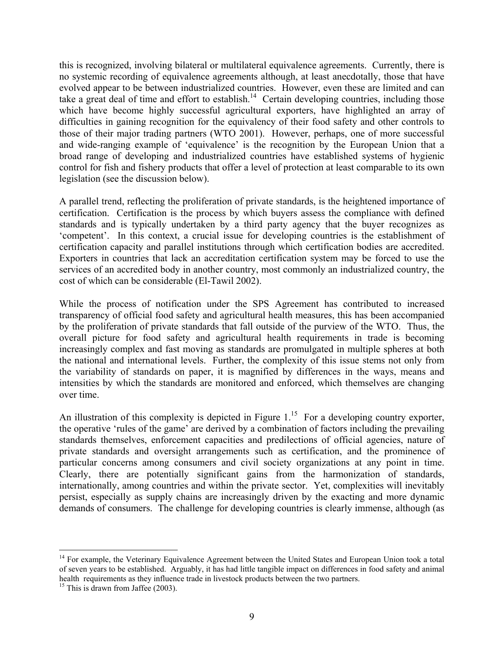this is recognized, involving bilateral or multilateral equivalence agreements. Currently, there is no systemic recording of equivalence agreements although, at least anecdotally, those that have evolved appear to be between industrialized countries. However, even these are limited and can take a great deal of time and effort to establish.<sup>14</sup> Certain developing countries, including those which have become highly successful agricultural exporters, have highlighted an array of difficulties in gaining recognition for the equivalency of their food safety and other controls to those of their major trading partners (WTO 2001). However, perhaps, one of more successful and wide-ranging example of 'equivalence' is the recognition by the European Union that a broad range of developing and industrialized countries have established systems of hygienic control for fish and fishery products that offer a level of protection at least comparable to its own legislation (see the discussion below).

A parallel trend, reflecting the proliferation of private standards, is the heightened importance of certification. Certification is the process by which buyers assess the compliance with defined standards and is typically undertaken by a third party agency that the buyer recognizes as 'competent'. In this context, a crucial issue for developing countries is the establishment of certification capacity and parallel institutions through which certification bodies are accredited. Exporters in countries that lack an accreditation certification system may be forced to use the services of an accredited body in another country, most commonly an industrialized country, the cost of which can be considerable (El-Tawil 2002).

While the process of notification under the SPS Agreement has contributed to increased transparency of official food safety and agricultural health measures, this has been accompanied by the proliferation of private standards that fall outside of the purview of the WTO. Thus, the overall picture for food safety and agricultural health requirements in trade is becoming increasingly complex and fast moving as standards are promulgated in multiple spheres at both the national and international levels. Further, the complexity of this issue stems not only from the variability of standards on paper, it is magnified by differences in the ways, means and intensities by which the standards are monitored and enforced, which themselves are changing over time.

An illustration of this complexity is depicted in Figure  $1<sup>15</sup>$  For a developing country exporter, the operative 'rules of the game' are derived by a combination of factors including the prevailing standards themselves, enforcement capacities and predilections of official agencies, nature of private standards and oversight arrangements such as certification, and the prominence of particular concerns among consumers and civil society organizations at any point in time. Clearly, there are potentially significant gains from the harmonization of standards, internationally, among countries and within the private sector. Yet, complexities will inevitably persist, especially as supply chains are increasingly driven by the exacting and more dynamic demands of consumers. The challenge for developing countries is clearly immense, although (as

<sup>&</sup>lt;sup>14</sup> For example, the Veterinary Equivalence Agreement between the United States and European Union took a total of seven years to be established. Arguably, it has had little tangible impact on differences in food safety and animal health requirements as they influence trade in livestock products between the two partners.<br><sup>15</sup> This is drawn from Jaffee (2003).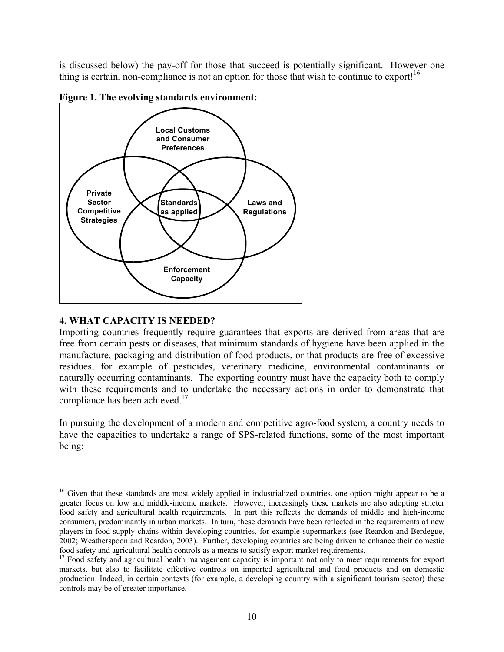is discussed below) the pay-off for those that succeed is potentially significant. However one thing is certain, non-compliance is not an option for those that wish to continue to export!<sup>16</sup>



**Figure 1. The evolving standards environment:** 

#### **4. WHAT CAPACITY IS NEEDED?**

 $\overline{a}$ 

Importing countries frequently require guarantees that exports are derived from areas that are free from certain pests or diseases, that minimum standards of hygiene have been applied in the manufacture, packaging and distribution of food products, or that products are free of excessive residues, for example of pesticides, veterinary medicine, environmental contaminants or naturally occurring contaminants. The exporting country must have the capacity both to comply with these requirements and to undertake the necessary actions in order to demonstrate that compliance has been achieved.<sup>17</sup>

In pursuing the development of a modern and competitive agro-food system, a country needs to have the capacities to undertake a range of SPS-related functions, some of the most important being:

<sup>&</sup>lt;sup>16</sup> Given that these standards are most widely applied in industrialized countries, one option might appear to be a greater focus on low and middle-income markets. However, increasingly these markets are also adopting stricter food safety and agricultural health requirements. In part this reflects the demands of middle and high-income consumers, predominantly in urban markets. In turn, these demands have been reflected in the requirements of new players in food supply chains within developing countries, for example supermarkets (see Reardon and Berdegue, 2002; Weatherspoon and Reardon, 2003). Further, developing countries are being driven to enhance their domestic food safety and agricultural health controls as a means to satisfy export market requirements. 17 Food safety and agricultural health management capacity is important not only to meet requirements for export

markets, but also to facilitate effective controls on imported agricultural and food products and on domestic production. Indeed, in certain contexts (for example, a developing country with a significant tourism sector) these controls may be of greater importance.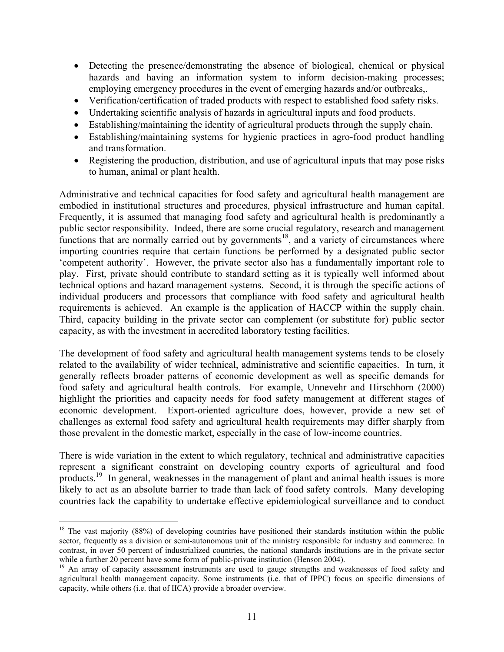- Detecting the presence/demonstrating the absence of biological, chemical or physical hazards and having an information system to inform decision-making processes; employing emergency procedures in the event of emerging hazards and/or outbreaks,.
- Verification/certification of traded products with respect to established food safety risks.
- Undertaking scientific analysis of hazards in agricultural inputs and food products.
- Establishing/maintaining the identity of agricultural products through the supply chain.
- Establishing/maintaining systems for hygienic practices in agro-food product handling and transformation.
- Registering the production, distribution, and use of agricultural inputs that may pose risks to human, animal or plant health.

Administrative and technical capacities for food safety and agricultural health management are embodied in institutional structures and procedures, physical infrastructure and human capital. Frequently, it is assumed that managing food safety and agricultural health is predominantly a public sector responsibility. Indeed, there are some crucial regulatory, research and management functions that are normally carried out by governments<sup>18</sup>, and a variety of circumstances where importing countries require that certain functions be performed by a designated public sector 'competent authority'. However, the private sector also has a fundamentally important role to play. First, private should contribute to standard setting as it is typically well informed about technical options and hazard management systems. Second, it is through the specific actions of individual producers and processors that compliance with food safety and agricultural health requirements is achieved. An example is the application of HACCP within the supply chain. Third, capacity building in the private sector can complement (or substitute for) public sector capacity, as with the investment in accredited laboratory testing facilities.

The development of food safety and agricultural health management systems tends to be closely related to the availability of wider technical, administrative and scientific capacities. In turn, it generally reflects broader patterns of economic development as well as specific demands for food safety and agricultural health controls. For example, Unnevehr and Hirschhorn (2000) highlight the priorities and capacity needs for food safety management at different stages of economic development. Export-oriented agriculture does, however, provide a new set of challenges as external food safety and agricultural health requirements may differ sharply from those prevalent in the domestic market, especially in the case of low-income countries.

There is wide variation in the extent to which regulatory, technical and administrative capacities represent a significant constraint on developing country exports of agricultural and food products.<sup>19</sup> In general, weaknesses in the management of plant and animal health issues is more likely to act as an absolute barrier to trade than lack of food safety controls. Many developing countries lack the capability to undertake effective epidemiological surveillance and to conduct

<u>.</u>

 $18$  The vast majority (88%) of developing countries have positioned their standards institution within the public sector, frequently as a division or semi-autonomous unit of the ministry responsible for industry and commerce. In contrast, in over 50 percent of industrialized countries, the national standards institutions are in the private sector while a further 20 percent have some form of public-private institution (Henson 2004).

<sup>&</sup>lt;sup>19</sup> An array of capacity assessment instruments are used to gauge strengths and weaknesses of food safety and agricultural health management capacity. Some instruments (i.e. that of IPPC) focus on specific dimensions of capacity, while others (i.e. that of IICA) provide a broader overview.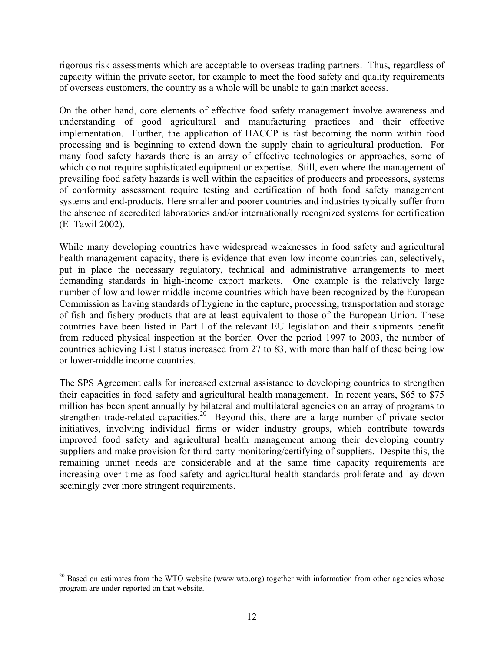rigorous risk assessments which are acceptable to overseas trading partners. Thus, regardless of capacity within the private sector, for example to meet the food safety and quality requirements of overseas customers, the country as a whole will be unable to gain market access.

On the other hand, core elements of effective food safety management involve awareness and understanding of good agricultural and manufacturing practices and their effective implementation. Further, the application of HACCP is fast becoming the norm within food processing and is beginning to extend down the supply chain to agricultural production. For many food safety hazards there is an array of effective technologies or approaches, some of which do not require sophisticated equipment or expertise. Still, even where the management of prevailing food safety hazards is well within the capacities of producers and processors, systems of conformity assessment require testing and certification of both food safety management systems and end-products. Here smaller and poorer countries and industries typically suffer from the absence of accredited laboratories and/or internationally recognized systems for certification (El Tawil 2002).

While many developing countries have widespread weaknesses in food safety and agricultural health management capacity, there is evidence that even low-income countries can, selectively, put in place the necessary regulatory, technical and administrative arrangements to meet demanding standards in high-income export markets. One example is the relatively large number of low and lower middle-income countries which have been recognized by the European Commission as having standards of hygiene in the capture, processing, transportation and storage of fish and fishery products that are at least equivalent to those of the European Union. These countries have been listed in Part I of the relevant EU legislation and their shipments benefit from reduced physical inspection at the border. Over the period 1997 to 2003, the number of countries achieving List I status increased from 27 to 83, with more than half of these being low or lower-middle income countries.

The SPS Agreement calls for increased external assistance to developing countries to strengthen their capacities in food safety and agricultural health management. In recent years, \$65 to \$75 million has been spent annually by bilateral and multilateral agencies on an array of programs to strengthen trade-related capacities.<sup>20</sup> Beyond this, there are a large number of private sector initiatives, involving individual firms or wider industry groups, which contribute towards improved food safety and agricultural health management among their developing country suppliers and make provision for third-party monitoring/certifying of suppliers. Despite this, the remaining unmet needs are considerable and at the same time capacity requirements are increasing over time as food safety and agricultural health standards proliferate and lay down seemingly ever more stringent requirements.

 $20$  Based on estimates from the WTO website (www.wto.org) together with information from other agencies whose program are under-reported on that website.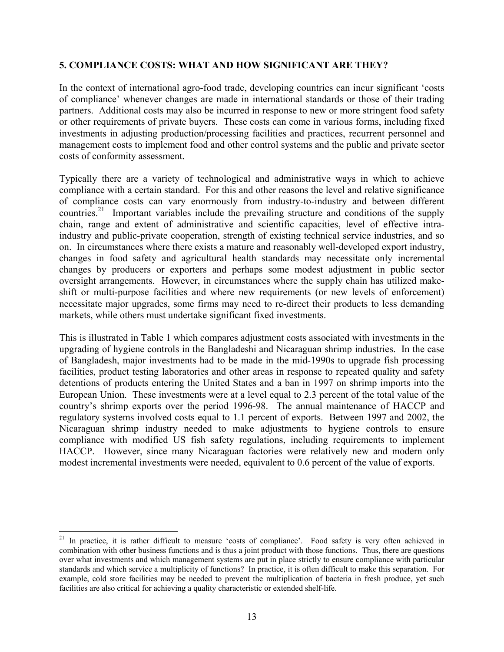#### **5. COMPLIANCE COSTS: WHAT AND HOW SIGNIFICANT ARE THEY?**

In the context of international agro-food trade, developing countries can incur significant 'costs of compliance' whenever changes are made in international standards or those of their trading partners. Additional costs may also be incurred in response to new or more stringent food safety or other requirements of private buyers. These costs can come in various forms, including fixed investments in adjusting production/processing facilities and practices, recurrent personnel and management costs to implement food and other control systems and the public and private sector costs of conformity assessment.

Typically there are a variety of technological and administrative ways in which to achieve compliance with a certain standard. For this and other reasons the level and relative significance of compliance costs can vary enormously from industry-to-industry and between different countries.<sup>21</sup> Important variables include the prevailing structure and conditions of the supply chain, range and extent of administrative and scientific capacities, level of effective intraindustry and public-private cooperation, strength of existing technical service industries, and so on. In circumstances where there exists a mature and reasonably well-developed export industry, changes in food safety and agricultural health standards may necessitate only incremental changes by producers or exporters and perhaps some modest adjustment in public sector oversight arrangements. However, in circumstances where the supply chain has utilized makeshift or multi-purpose facilities and where new requirements (or new levels of enforcement) necessitate major upgrades, some firms may need to re-direct their products to less demanding markets, while others must undertake significant fixed investments.

This is illustrated in Table 1 which compares adjustment costs associated with investments in the upgrading of hygiene controls in the Bangladeshi and Nicaraguan shrimp industries. In the case of Bangladesh, major investments had to be made in the mid-1990s to upgrade fish processing facilities, product testing laboratories and other areas in response to repeated quality and safety detentions of products entering the United States and a ban in 1997 on shrimp imports into the European Union. These investments were at a level equal to 2.3 percent of the total value of the country's shrimp exports over the period 1996-98. The annual maintenance of HACCP and regulatory systems involved costs equal to 1.1 percent of exports. Between 1997 and 2002, the Nicaraguan shrimp industry needed to make adjustments to hygiene controls to ensure compliance with modified US fish safety regulations, including requirements to implement HACCP. However, since many Nicaraguan factories were relatively new and modern only modest incremental investments were needed, equivalent to 0.6 percent of the value of exports.

1

<sup>&</sup>lt;sup>21</sup> In practice, it is rather difficult to measure 'costs of compliance'. Food safety is very often achieved in combination with other business functions and is thus a joint product with those functions. Thus, there are questions over what investments and which management systems are put in place strictly to ensure compliance with particular standards and which service a multiplicity of functions? In practice, it is often difficult to make this separation. For example, cold store facilities may be needed to prevent the multiplication of bacteria in fresh produce, yet such facilities are also critical for achieving a quality characteristic or extended shelf-life.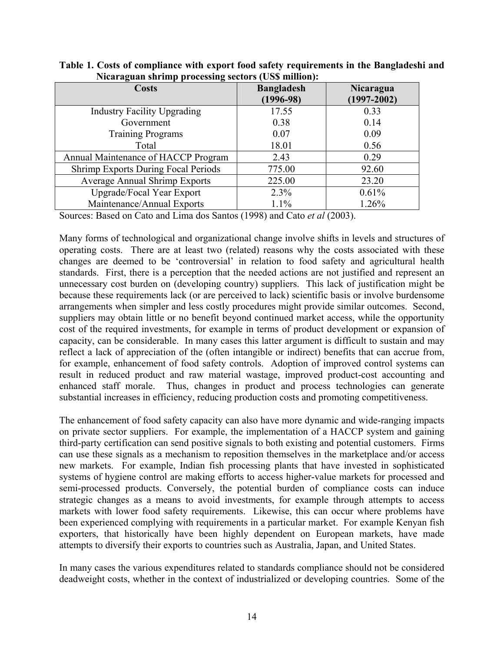| <b>Costs</b>                               | <b>Bangladesh</b><br>$(1996-98)$ | Nicaragua<br>$(1997 - 2002)$ |
|--------------------------------------------|----------------------------------|------------------------------|
| <b>Industry Facility Upgrading</b>         | 17.55                            | 0.33                         |
| Government                                 | 0.38                             | 0.14                         |
| <b>Training Programs</b>                   | 0.07                             | 0.09                         |
| Total                                      | 18.01                            | 0.56                         |
| Annual Maintenance of HACCP Program        | 2.43                             | 0.29                         |
| <b>Shrimp Exports During Focal Periods</b> | 775.00                           | 92.60                        |
| <b>Average Annual Shrimp Exports</b>       | 225.00                           | 23.20                        |
| Upgrade/Focal Year Export                  | 2.3%                             | 0.61%                        |
| Maintenance/Annual Exports                 | 1.1%                             | 1.26%                        |

**Table 1. Costs of compliance with export food safety requirements in the Bangladeshi and Nicaraguan shrimp processing sectors (US\$ million):** 

Sources: Based on Cato and Lima dos Santos (1998) and Cato *et al* (2003).

Many forms of technological and organizational change involve shifts in levels and structures of operating costs. There are at least two (related) reasons why the costs associated with these changes are deemed to be 'controversial' in relation to food safety and agricultural health standards. First, there is a perception that the needed actions are not justified and represent an unnecessary cost burden on (developing country) suppliers. This lack of justification might be because these requirements lack (or are perceived to lack) scientific basis or involve burdensome arrangements when simpler and less costly procedures might provide similar outcomes. Second, suppliers may obtain little or no benefit beyond continued market access, while the opportunity cost of the required investments, for example in terms of product development or expansion of capacity, can be considerable. In many cases this latter argument is difficult to sustain and may reflect a lack of appreciation of the (often intangible or indirect) benefits that can accrue from, for example, enhancement of food safety controls. Adoption of improved control systems can result in reduced product and raw material wastage, improved product-cost accounting and enhanced staff morale. Thus, changes in product and process technologies can generate substantial increases in efficiency, reducing production costs and promoting competitiveness.

The enhancement of food safety capacity can also have more dynamic and wide-ranging impacts on private sector suppliers. For example, the implementation of a HACCP system and gaining third-party certification can send positive signals to both existing and potential customers. Firms can use these signals as a mechanism to reposition themselves in the marketplace and/or access new markets. For example, Indian fish processing plants that have invested in sophisticated systems of hygiene control are making efforts to access higher-value markets for processed and semi-processed products. Conversely, the potential burden of compliance costs can induce strategic changes as a means to avoid investments, for example through attempts to access markets with lower food safety requirements. Likewise, this can occur where problems have been experienced complying with requirements in a particular market. For example Kenyan fish exporters, that historically have been highly dependent on European markets, have made attempts to diversify their exports to countries such as Australia, Japan, and United States.

In many cases the various expenditures related to standards compliance should not be considered deadweight costs, whether in the context of industrialized or developing countries. Some of the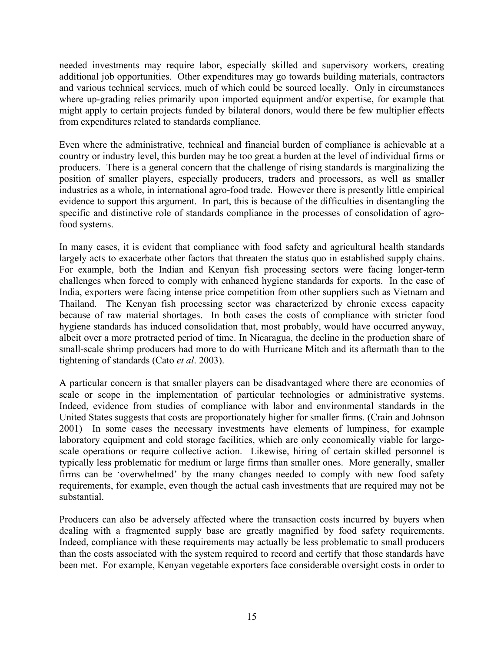needed investments may require labor, especially skilled and supervisory workers, creating additional job opportunities. Other expenditures may go towards building materials, contractors and various technical services, much of which could be sourced locally. Only in circumstances where up-grading relies primarily upon imported equipment and/or expertise, for example that might apply to certain projects funded by bilateral donors, would there be few multiplier effects from expenditures related to standards compliance.

Even where the administrative, technical and financial burden of compliance is achievable at a country or industry level, this burden may be too great a burden at the level of individual firms or producers. There is a general concern that the challenge of rising standards is marginalizing the position of smaller players, especially producers, traders and processors, as well as smaller industries as a whole, in international agro-food trade. However there is presently little empirical evidence to support this argument. In part, this is because of the difficulties in disentangling the specific and distinctive role of standards compliance in the processes of consolidation of agrofood systems.

In many cases, it is evident that compliance with food safety and agricultural health standards largely acts to exacerbate other factors that threaten the status quo in established supply chains. For example, both the Indian and Kenyan fish processing sectors were facing longer-term challenges when forced to comply with enhanced hygiene standards for exports. In the case of India, exporters were facing intense price competition from other suppliers such as Vietnam and Thailand. The Kenyan fish processing sector was characterized by chronic excess capacity because of raw material shortages. In both cases the costs of compliance with stricter food hygiene standards has induced consolidation that, most probably, would have occurred anyway, albeit over a more protracted period of time. In Nicaragua, the decline in the production share of small-scale shrimp producers had more to do with Hurricane Mitch and its aftermath than to the tightening of standards (Cato *et al*. 2003).

A particular concern is that smaller players can be disadvantaged where there are economies of scale or scope in the implementation of particular technologies or administrative systems. Indeed, evidence from studies of compliance with labor and environmental standards in the United States suggests that costs are proportionately higher for smaller firms. (Crain and Johnson 2001) In some cases the necessary investments have elements of lumpiness, for example laboratory equipment and cold storage facilities, which are only economically viable for largescale operations or require collective action. Likewise, hiring of certain skilled personnel is typically less problematic for medium or large firms than smaller ones. More generally, smaller firms can be 'overwhelmed' by the many changes needed to comply with new food safety requirements, for example, even though the actual cash investments that are required may not be substantial.

Producers can also be adversely affected where the transaction costs incurred by buyers when dealing with a fragmented supply base are greatly magnified by food safety requirements. Indeed, compliance with these requirements may actually be less problematic to small producers than the costs associated with the system required to record and certify that those standards have been met. For example, Kenyan vegetable exporters face considerable oversight costs in order to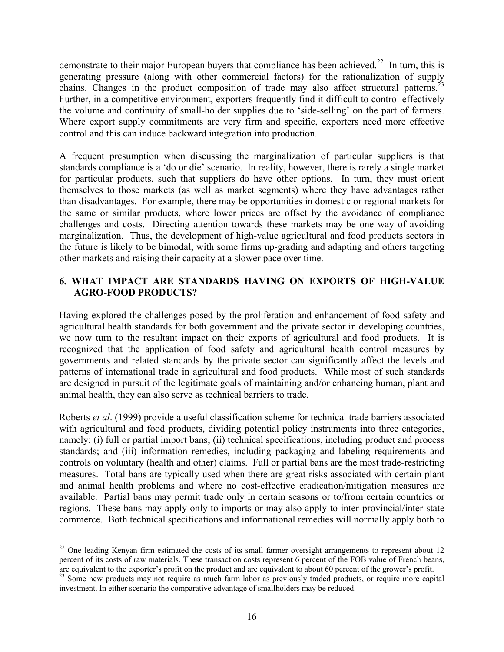demonstrate to their major European buyers that compliance has been achieved.<sup>22</sup> In turn, this is generating pressure (along with other commercial factors) for the rationalization of supply chains. Changes in the product composition of trade may also affect structural patterns.<sup>2</sup> Further, in a competitive environment, exporters frequently find it difficult to control effectively the volume and continuity of small-holder supplies due to 'side-selling' on the part of farmers. Where export supply commitments are very firm and specific, exporters need more effective control and this can induce backward integration into production.

A frequent presumption when discussing the marginalization of particular suppliers is that standards compliance is a 'do or die' scenario. In reality, however, there is rarely a single market for particular products, such that suppliers do have other options. In turn, they must orient themselves to those markets (as well as market segments) where they have advantages rather than disadvantages. For example, there may be opportunities in domestic or regional markets for the same or similar products, where lower prices are offset by the avoidance of compliance challenges and costs. Directing attention towards these markets may be one way of avoiding marginalization. Thus, the development of high-value agricultural and food products sectors in the future is likely to be bimodal, with some firms up-grading and adapting and others targeting other markets and raising their capacity at a slower pace over time.

# **6. WHAT IMPACT ARE STANDARDS HAVING ON EXPORTS OF HIGH-VALUE AGRO-FOOD PRODUCTS?**

Having explored the challenges posed by the proliferation and enhancement of food safety and agricultural health standards for both government and the private sector in developing countries, we now turn to the resultant impact on their exports of agricultural and food products. It is recognized that the application of food safety and agricultural health control measures by governments and related standards by the private sector can significantly affect the levels and patterns of international trade in agricultural and food products. While most of such standards are designed in pursuit of the legitimate goals of maintaining and/or enhancing human, plant and animal health, they can also serve as technical barriers to trade.

Roberts *et al*. (1999) provide a useful classification scheme for technical trade barriers associated with agricultural and food products, dividing potential policy instruments into three categories, namely: (i) full or partial import bans; (ii) technical specifications, including product and process standards; and (iii) information remedies, including packaging and labeling requirements and controls on voluntary (health and other) claims. Full or partial bans are the most trade-restricting measures. Total bans are typically used when there are great risks associated with certain plant and animal health problems and where no cost-effective eradication/mitigation measures are available. Partial bans may permit trade only in certain seasons or to/from certain countries or regions. These bans may apply only to imports or may also apply to inter-provincial/inter-state commerce. Both technical specifications and informational remedies will normally apply both to

1

 $22$  One leading Kenyan firm estimated the costs of its small farmer oversight arrangements to represent about 12 percent of its costs of raw materials. These transaction costs represent 6 percent of the FOB value of French beans, are equivalent to the exporter's profit on the product and are equivalent to about 60 percent of the grower's profit.

<sup>&</sup>lt;sup>23</sup> Some new products may not require as much farm labor as previously traded products, or require more capital investment. In either scenario the comparative advantage of smallholders may be reduced.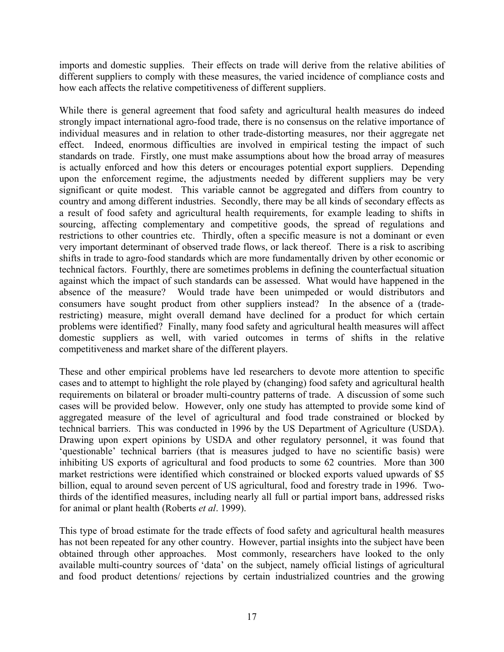imports and domestic supplies. Their effects on trade will derive from the relative abilities of different suppliers to comply with these measures, the varied incidence of compliance costs and how each affects the relative competitiveness of different suppliers.

While there is general agreement that food safety and agricultural health measures do indeed strongly impact international agro-food trade, there is no consensus on the relative importance of individual measures and in relation to other trade-distorting measures, nor their aggregate net effect. Indeed, enormous difficulties are involved in empirical testing the impact of such standards on trade. Firstly, one must make assumptions about how the broad array of measures is actually enforced and how this deters or encourages potential export suppliers. Depending upon the enforcement regime, the adjustments needed by different suppliers may be very significant or quite modest. This variable cannot be aggregated and differs from country to country and among different industries. Secondly, there may be all kinds of secondary effects as a result of food safety and agricultural health requirements, for example leading to shifts in sourcing, affecting complementary and competitive goods, the spread of regulations and restrictions to other countries etc. Thirdly, often a specific measure is not a dominant or even very important determinant of observed trade flows, or lack thereof. There is a risk to ascribing shifts in trade to agro-food standards which are more fundamentally driven by other economic or technical factors. Fourthly, there are sometimes problems in defining the counterfactual situation against which the impact of such standards can be assessed. What would have happened in the absence of the measure? Would trade have been unimpeded or would distributors and consumers have sought product from other suppliers instead? In the absence of a (traderestricting) measure, might overall demand have declined for a product for which certain problems were identified? Finally, many food safety and agricultural health measures will affect domestic suppliers as well, with varied outcomes in terms of shifts in the relative competitiveness and market share of the different players.

These and other empirical problems have led researchers to devote more attention to specific cases and to attempt to highlight the role played by (changing) food safety and agricultural health requirements on bilateral or broader multi-country patterns of trade. A discussion of some such cases will be provided below. However, only one study has attempted to provide some kind of aggregated measure of the level of agricultural and food trade constrained or blocked by technical barriers. This was conducted in 1996 by the US Department of Agriculture (USDA). Drawing upon expert opinions by USDA and other regulatory personnel, it was found that 'questionable' technical barriers (that is measures judged to have no scientific basis) were inhibiting US exports of agricultural and food products to some 62 countries. More than 300 market restrictions were identified which constrained or blocked exports valued upwards of \$5 billion, equal to around seven percent of US agricultural, food and forestry trade in 1996. Twothirds of the identified measures, including nearly all full or partial import bans, addressed risks for animal or plant health (Roberts *et al*. 1999).

This type of broad estimate for the trade effects of food safety and agricultural health measures has not been repeated for any other country. However, partial insights into the subject have been obtained through other approaches. Most commonly, researchers have looked to the only available multi-country sources of 'data' on the subject, namely official listings of agricultural and food product detentions/ rejections by certain industrialized countries and the growing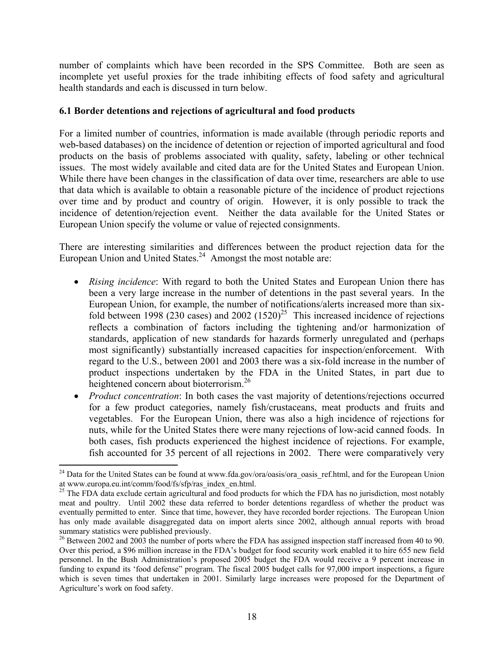number of complaints which have been recorded in the SPS Committee. Both are seen as incomplete yet useful proxies for the trade inhibiting effects of food safety and agricultural health standards and each is discussed in turn below.

### **6.1 Border detentions and rejections of agricultural and food products**

For a limited number of countries, information is made available (through periodic reports and web-based databases) on the incidence of detention or rejection of imported agricultural and food products on the basis of problems associated with quality, safety, labeling or other technical issues. The most widely available and cited data are for the United States and European Union. While there have been changes in the classification of data over time, researchers are able to use that data which is available to obtain a reasonable picture of the incidence of product rejections over time and by product and country of origin. However, it is only possible to track the incidence of detention/rejection event. Neither the data available for the United States or European Union specify the volume or value of rejected consignments.

There are interesting similarities and differences between the product rejection data for the European Union and United States.<sup>24</sup> Amongst the most notable are:

- *Rising incidence*: With regard to both the United States and European Union there has been a very large increase in the number of detentions in the past several years. In the European Union, for example, the number of notifications/alerts increased more than sixfold between 1998 (230 cases) and 2002  $(1520)^{25}$  This increased incidence of rejections reflects a combination of factors including the tightening and/or harmonization of standards, application of new standards for hazards formerly unregulated and (perhaps most significantly) substantially increased capacities for inspection/enforcement. With regard to the U.S., between 2001 and 2003 there was a six-fold increase in the number of product inspections undertaken by the FDA in the United States, in part due to heightened concern about bioterrorism.<sup>26</sup>
- *Product concentration*: In both cases the vast majority of detentions/rejections occurred for a few product categories, namely fish/crustaceans, meat products and fruits and vegetables. For the European Union, there was also a high incidence of rejections for nuts, while for the United States there were many rejections of low-acid canned foods. In both cases, fish products experienced the highest incidence of rejections. For example, fish accounted for 35 percent of all rejections in 2002. There were comparatively very

<sup>&</sup>lt;sup>24</sup> Data for the United States can be found at www.fda.gov/ora/oasis/ora\_oasis\_ref.html, and for the European Union at www.europa.eu.int/comm/food/fs/sfp/ras\_index\_en.html.

<sup>&</sup>lt;sup>25</sup> The FDA data exclude certain agricultural and food products for which the FDA has no jurisdiction, most notably meat and poultry. Until 2002 these data referred to border detentions regardless of whether the product was eventually permitted to enter. Since that time, however, they have recorded border rejections. The European Union has only made available disaggregated data on import alerts since 2002, although annual reports with broad summary statistics were published previously.

<sup>&</sup>lt;sup>26</sup> Between 2002 and 2003 the number of ports where the FDA has assigned inspection staff increased from 40 to 90. Over this period, a \$96 million increase in the FDA's budget for food security work enabled it to hire 655 new field personnel. In the Bush Administration's proposed 2005 budget the FDA would receive a 9 percent increase in funding to expand its 'food defense" program. The fiscal 2005 budget calls for 97,000 import inspections, a figure which is seven times that undertaken in 2001. Similarly large increases were proposed for the Department of Agriculture's work on food safety.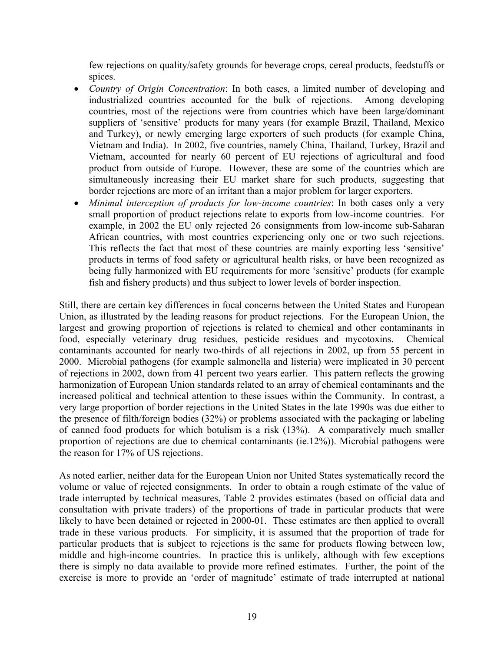few rejections on quality/safety grounds for beverage crops, cereal products, feedstuffs or spices.

- *Country of Origin Concentration*: In both cases, a limited number of developing and industrialized countries accounted for the bulk of rejections. Among developing countries, most of the rejections were from countries which have been large/dominant suppliers of 'sensitive' products for many years (for example Brazil, Thailand, Mexico and Turkey), or newly emerging large exporters of such products (for example China, Vietnam and India). In 2002, five countries, namely China, Thailand, Turkey, Brazil and Vietnam, accounted for nearly 60 percent of EU rejections of agricultural and food product from outside of Europe. However, these are some of the countries which are simultaneously increasing their EU market share for such products, suggesting that border rejections are more of an irritant than a major problem for larger exporters.
- *Minimal interception of products for low-income countries*: In both cases only a very small proportion of product rejections relate to exports from low-income countries. For example, in 2002 the EU only rejected 26 consignments from low-income sub-Saharan African countries, with most countries experiencing only one or two such rejections. This reflects the fact that most of these countries are mainly exporting less 'sensitive' products in terms of food safety or agricultural health risks, or have been recognized as being fully harmonized with EU requirements for more 'sensitive' products (for example fish and fishery products) and thus subject to lower levels of border inspection.

Still, there are certain key differences in focal concerns between the United States and European Union, as illustrated by the leading reasons for product rejections. For the European Union, the largest and growing proportion of rejections is related to chemical and other contaminants in food, especially veterinary drug residues, pesticide residues and mycotoxins. Chemical contaminants accounted for nearly two-thirds of all rejections in 2002, up from 55 percent in 2000. Microbial pathogens (for example salmonella and listeria) were implicated in 30 percent of rejections in 2002, down from 41 percent two years earlier. This pattern reflects the growing harmonization of European Union standards related to an array of chemical contaminants and the increased political and technical attention to these issues within the Community. In contrast, a very large proportion of border rejections in the United States in the late 1990s was due either to the presence of filth/foreign bodies (32%) or problems associated with the packaging or labeling of canned food products for which botulism is a risk (13%). A comparatively much smaller proportion of rejections are due to chemical contaminants (ie.12%)). Microbial pathogens were the reason for 17% of US rejections.

As noted earlier, neither data for the European Union nor United States systematically record the volume or value of rejected consignments. In order to obtain a rough estimate of the value of trade interrupted by technical measures, Table 2 provides estimates (based on official data and consultation with private traders) of the proportions of trade in particular products that were likely to have been detained or rejected in 2000-01. These estimates are then applied to overall trade in these various products. For simplicity, it is assumed that the proportion of trade for particular products that is subject to rejections is the same for products flowing between low, middle and high-income countries. In practice this is unlikely, although with few exceptions there is simply no data available to provide more refined estimates. Further, the point of the exercise is more to provide an 'order of magnitude' estimate of trade interrupted at national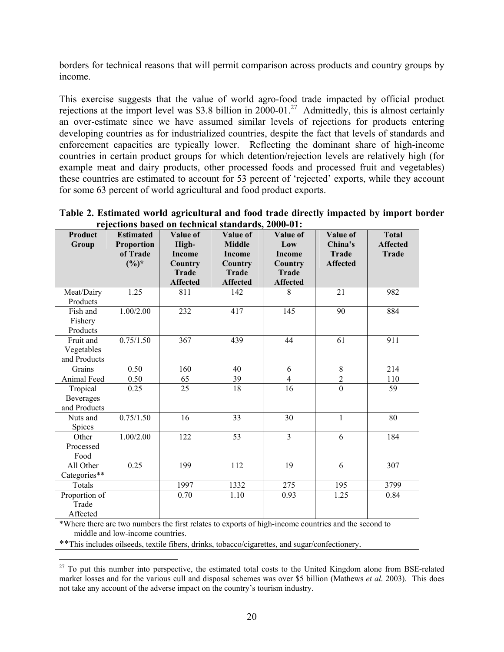borders for technical reasons that will permit comparison across products and country groups by income.

This exercise suggests that the value of world agro-food trade impacted by official product rejections at the import level was \$3.8 billion in  $2000-01$ .<sup>27</sup> Admittedly, this is almost certainly an over-estimate since we have assumed similar levels of rejections for products entering developing countries as for industrialized countries, despite the fact that levels of standards and enforcement capacities are typically lower. Reflecting the dominant share of high-income countries in certain product groups for which detention/rejection levels are relatively high (for example meat and dairy products, other processed foods and processed fruit and vegetables) these countries are estimated to account for 53 percent of 'rejected' exports, while they account for some 63 percent of world agricultural and food product exports.

| Table 2. Estimated world agricultural and food trade directly impacted by import border |  |
|-----------------------------------------------------------------------------------------|--|
| rejections based on technical standards, 2000-01:                                       |  |

| Product<br>Group                                                                                                                                                                                                                            | <b>Estimated</b><br><b>Proportion</b><br>of Trade<br>$(\frac{6}{6})^*$ | Value of<br>High-<br><b>Income</b><br>Country<br><b>Trade</b><br><b>Affected</b> | Value of<br><b>Middle</b><br><b>Income</b><br>Country<br><b>Trade</b><br><b>Affected</b> | Value of<br>Low<br><b>Income</b><br>Country<br><b>Trade</b><br><b>Affected</b> | Value of<br>China's<br><b>Trade</b><br><b>Affected</b> | <b>Total</b><br><b>Affected</b><br><b>Trade</b> |
|---------------------------------------------------------------------------------------------------------------------------------------------------------------------------------------------------------------------------------------------|------------------------------------------------------------------------|----------------------------------------------------------------------------------|------------------------------------------------------------------------------------------|--------------------------------------------------------------------------------|--------------------------------------------------------|-------------------------------------------------|
| Meat/Dairy                                                                                                                                                                                                                                  | 1.25                                                                   | 811                                                                              | 142                                                                                      | 8                                                                              | 21                                                     | 982                                             |
| Products                                                                                                                                                                                                                                    |                                                                        |                                                                                  |                                                                                          |                                                                                |                                                        |                                                 |
| $\overline{\text{F}}$ ish and<br>Fishery<br>Products                                                                                                                                                                                        | 1.00/2.00                                                              | 232                                                                              | 417                                                                                      | 145                                                                            | 90                                                     | 884                                             |
| Fruit and<br>Vegetables<br>and Products                                                                                                                                                                                                     | 0.75/1.50                                                              | 367                                                                              | 439                                                                                      | 44                                                                             | 61                                                     | 911                                             |
| Grains                                                                                                                                                                                                                                      | 0.50                                                                   | 160                                                                              | 40                                                                                       | 6                                                                              | $\overline{8}$                                         | 214                                             |
| Animal Feed                                                                                                                                                                                                                                 | 0.50                                                                   | 65                                                                               | 39                                                                                       | $\overline{4}$                                                                 | $\overline{2}$                                         | 110                                             |
| Tropical<br>Beverages<br>and Products                                                                                                                                                                                                       | 0.25                                                                   | 25                                                                               | 18                                                                                       | 16                                                                             | $\overline{0}$                                         | 59                                              |
| Nuts and<br>Spices                                                                                                                                                                                                                          | 0.75/1.50                                                              | 16                                                                               | 33                                                                                       | 30                                                                             | $\mathbf{1}$                                           | 80                                              |
| Other<br>Processed<br>Food                                                                                                                                                                                                                  | 1.00/2.00                                                              | 122                                                                              | 53                                                                                       | $\overline{3}$                                                                 | 6                                                      | 184                                             |
| All Other<br>Categories**                                                                                                                                                                                                                   | 0.25                                                                   | 199                                                                              | 112                                                                                      | 19                                                                             | 6                                                      | 307                                             |
| Totals                                                                                                                                                                                                                                      |                                                                        | 1997                                                                             | 1332                                                                                     | 275                                                                            | 195                                                    | 3799                                            |
| Proportion of<br>Trade<br>Affected                                                                                                                                                                                                          |                                                                        | 0.70                                                                             | 1.10                                                                                     | 0.93                                                                           | 1.25                                                   | 0.84                                            |
| *Where there are two numbers the first relates to exports of high-income countries and the second to<br>middle and low-income countries.<br>** This includes oilseeds, textile fibers, drinks, tobacco/cigarettes, and sugar/confectionery. |                                                                        |                                                                                  |                                                                                          |                                                                                |                                                        |                                                 |

 $\overline{a}$  $27$  To put this number into perspective, the estimated total costs to the United Kingdom alone from BSE-related market losses and for the various cull and disposal schemes was over \$5 billion (Mathews *et al*. 2003). This does not take any account of the adverse impact on the country's tourism industry.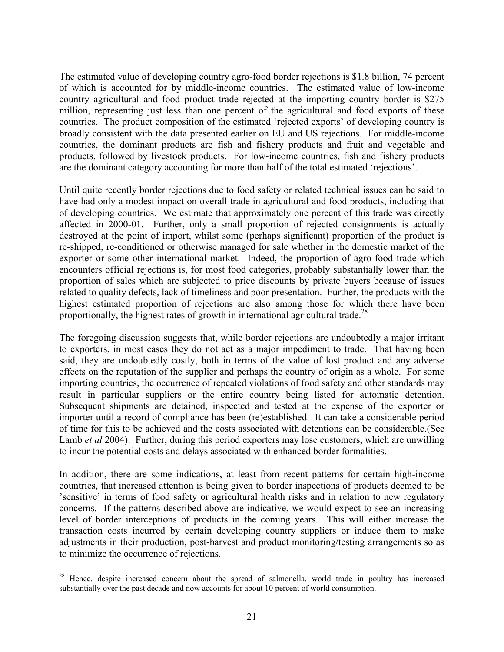The estimated value of developing country agro-food border rejections is \$1.8 billion, 74 percent of which is accounted for by middle-income countries. The estimated value of low-income country agricultural and food product trade rejected at the importing country border is \$275 million, representing just less than one percent of the agricultural and food exports of these countries. The product composition of the estimated 'rejected exports' of developing country is broadly consistent with the data presented earlier on EU and US rejections. For middle-income countries, the dominant products are fish and fishery products and fruit and vegetable and products, followed by livestock products. For low-income countries, fish and fishery products are the dominant category accounting for more than half of the total estimated 'rejections'.

Until quite recently border rejections due to food safety or related technical issues can be said to have had only a modest impact on overall trade in agricultural and food products, including that of developing countries. We estimate that approximately one percent of this trade was directly affected in 2000-01. Further, only a small proportion of rejected consignments is actually destroyed at the point of import, whilst some (perhaps significant) proportion of the product is re-shipped, re-conditioned or otherwise managed for sale whether in the domestic market of the exporter or some other international market. Indeed, the proportion of agro-food trade which encounters official rejections is, for most food categories, probably substantially lower than the proportion of sales which are subjected to price discounts by private buyers because of issues related to quality defects, lack of timeliness and poor presentation. Further, the products with the highest estimated proportion of rejections are also among those for which there have been proportionally, the highest rates of growth in international agricultural trade.<sup>28</sup>

The foregoing discussion suggests that, while border rejections are undoubtedly a major irritant to exporters, in most cases they do not act as a major impediment to trade. That having been said, they are undoubtedly costly, both in terms of the value of lost product and any adverse effects on the reputation of the supplier and perhaps the country of origin as a whole. For some importing countries, the occurrence of repeated violations of food safety and other standards may result in particular suppliers or the entire country being listed for automatic detention. Subsequent shipments are detained, inspected and tested at the expense of the exporter or importer until a record of compliance has been (re)established. It can take a considerable period of time for this to be achieved and the costs associated with detentions can be considerable.(See Lamb *et al* 2004). Further, during this period exporters may lose customers, which are unwilling to incur the potential costs and delays associated with enhanced border formalities.

In addition, there are some indications, at least from recent patterns for certain high-income countries, that increased attention is being given to border inspections of products deemed to be 'sensitive' in terms of food safety or agricultural health risks and in relation to new regulatory concerns. If the patterns described above are indicative, we would expect to see an increasing level of border interceptions of products in the coming years. This will either increase the transaction costs incurred by certain developing country suppliers or induce them to make adjustments in their production, post-harvest and product monitoring/testing arrangements so as to minimize the occurrence of rejections.

<sup>&</sup>lt;sup>28</sup> Hence, despite increased concern about the spread of salmonella, world trade in poultry has increased substantially over the past decade and now accounts for about 10 percent of world consumption.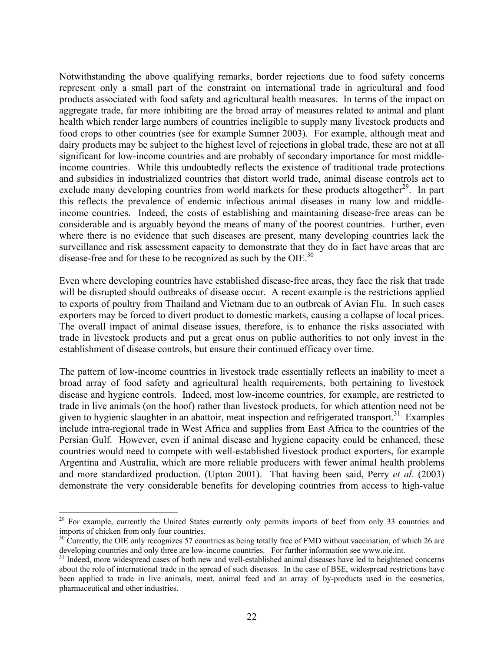Notwithstanding the above qualifying remarks, border rejections due to food safety concerns represent only a small part of the constraint on international trade in agricultural and food products associated with food safety and agricultural health measures. In terms of the impact on aggregate trade, far more inhibiting are the broad array of measures related to animal and plant health which render large numbers of countries ineligible to supply many livestock products and food crops to other countries (see for example Sumner 2003). For example, although meat and dairy products may be subject to the highest level of rejections in global trade, these are not at all significant for low-income countries and are probably of secondary importance for most middleincome countries. While this undoubtedly reflects the existence of traditional trade protections and subsidies in industrialized countries that distort world trade, animal disease controls act to exclude many developing countries from world markets for these products altogether<sup>29</sup>. In part this reflects the prevalence of endemic infectious animal diseases in many low and middleincome countries. Indeed, the costs of establishing and maintaining disease-free areas can be considerable and is arguably beyond the means of many of the poorest countries. Further, even where there is no evidence that such diseases are present, many developing countries lack the surveillance and risk assessment capacity to demonstrate that they do in fact have areas that are disease-free and for these to be recognized as such by the OIE. $^{30}$ 

Even where developing countries have established disease-free areas, they face the risk that trade will be disrupted should outbreaks of disease occur. A recent example is the restrictions applied to exports of poultry from Thailand and Vietnam due to an outbreak of Avian Flu. In such cases exporters may be forced to divert product to domestic markets, causing a collapse of local prices. The overall impact of animal disease issues, therefore, is to enhance the risks associated with trade in livestock products and put a great onus on public authorities to not only invest in the establishment of disease controls, but ensure their continued efficacy over time.

The pattern of low-income countries in livestock trade essentially reflects an inability to meet a broad array of food safety and agricultural health requirements, both pertaining to livestock disease and hygiene controls. Indeed, most low-income countries, for example, are restricted to trade in live animals (on the hoof) rather than livestock products, for which attention need not be given to hygienic slaughter in an abattoir, meat inspection and refrigerated transport.<sup>31</sup> Examples include intra-regional trade in West Africa and supplies from East Africa to the countries of the Persian Gulf. However, even if animal disease and hygiene capacity could be enhanced, these countries would need to compete with well-established livestock product exporters, for example Argentina and Australia, which are more reliable producers with fewer animal health problems and more standardized production. (Upton 2001). That having been said, Perry *et al*. (2003) demonstrate the very considerable benefits for developing countries from access to high-value

<sup>&</sup>lt;sup>29</sup> For example, currently the United States currently only permits imports of beef from only 33 countries and imports of chicken from only four countries.

 $30$  Currently, the OIE only recognizes 57 countries as being totally free of FMD without vaccination, of which 26 are developing countries and only three are low-income countries. For further information see www.oie.int.

<sup>&</sup>lt;sup>31</sup> Indeed, more widespread cases of both new and well-established animal diseases have led to heightened concerns about the role of international trade in the spread of such diseases. In the case of BSE, widespread restrictions have been applied to trade in live animals, meat, animal feed and an array of by-products used in the cosmetics, pharmaceutical and other industries.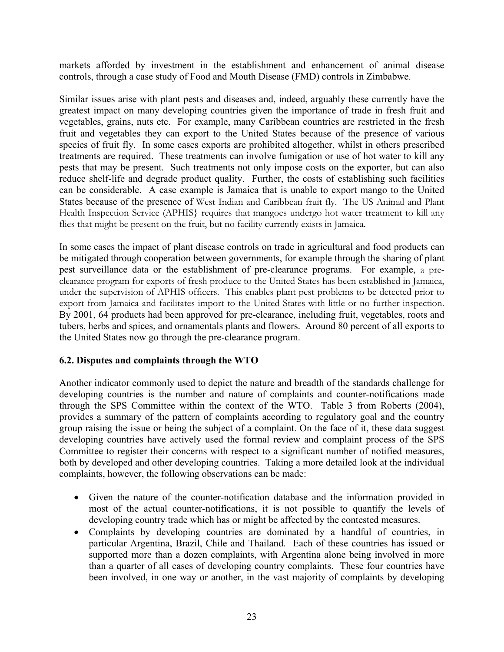markets afforded by investment in the establishment and enhancement of animal disease controls, through a case study of Food and Mouth Disease (FMD) controls in Zimbabwe.

Similar issues arise with plant pests and diseases and, indeed, arguably these currently have the greatest impact on many developing countries given the importance of trade in fresh fruit and vegetables, grains, nuts etc. For example, many Caribbean countries are restricted in the fresh fruit and vegetables they can export to the United States because of the presence of various species of fruit fly. In some cases exports are prohibited altogether, whilst in others prescribed treatments are required. These treatments can involve fumigation or use of hot water to kill any pests that may be present. Such treatments not only impose costs on the exporter, but can also reduce shelf-life and degrade product quality. Further, the costs of establishing such facilities can be considerable. A case example is Jamaica that is unable to export mango to the United States because of the presence of West Indian and Caribbean fruit fly. The US Animal and Plant Health Inspection Service (APHIS) requires that mangoes undergo hot water treatment to kill any flies that might be present on the fruit, but no facility currently exists in Jamaica.

In some cases the impact of plant disease controls on trade in agricultural and food products can be mitigated through cooperation between governments, for example through the sharing of plant pest surveillance data or the establishment of pre-clearance programs. For example, a preclearance program for exports of fresh produce to the United States has been established in Jamaica, under the supervision of APHIS officers. This enables plant pest problems to be detected prior to export from Jamaica and facilitates import to the United States with little or no further inspection. By 2001, 64 products had been approved for pre-clearance, including fruit, vegetables, roots and tubers, herbs and spices, and ornamentals plants and flowers. Around 80 percent of all exports to the United States now go through the pre-clearance program.

# **6.2. Disputes and complaints through the WTO**

Another indicator commonly used to depict the nature and breadth of the standards challenge for developing countries is the number and nature of complaints and counter-notifications made through the SPS Committee within the context of the WTO. Table 3 from Roberts (2004), provides a summary of the pattern of complaints according to regulatory goal and the country group raising the issue or being the subject of a complaint. On the face of it, these data suggest developing countries have actively used the formal review and complaint process of the SPS Committee to register their concerns with respect to a significant number of notified measures, both by developed and other developing countries. Taking a more detailed look at the individual complaints, however, the following observations can be made:

- Given the nature of the counter-notification database and the information provided in most of the actual counter-notifications, it is not possible to quantify the levels of developing country trade which has or might be affected by the contested measures.
- Complaints by developing countries are dominated by a handful of countries, in particular Argentina, Brazil, Chile and Thailand. Each of these countries has issued or supported more than a dozen complaints, with Argentina alone being involved in more than a quarter of all cases of developing country complaints. These four countries have been involved, in one way or another, in the vast majority of complaints by developing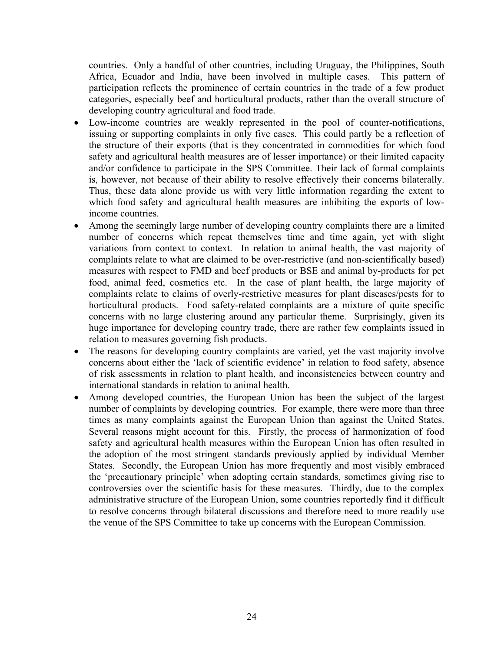countries. Only a handful of other countries, including Uruguay, the Philippines, South Africa, Ecuador and India, have been involved in multiple cases. This pattern of participation reflects the prominence of certain countries in the trade of a few product categories, especially beef and horticultural products, rather than the overall structure of developing country agricultural and food trade.

- Low-income countries are weakly represented in the pool of counter-notifications, issuing or supporting complaints in only five cases. This could partly be a reflection of the structure of their exports (that is they concentrated in commodities for which food safety and agricultural health measures are of lesser importance) or their limited capacity and/or confidence to participate in the SPS Committee. Their lack of formal complaints is, however, not because of their ability to resolve effectively their concerns bilaterally. Thus, these data alone provide us with very little information regarding the extent to which food safety and agricultural health measures are inhibiting the exports of lowincome countries.
- Among the seemingly large number of developing country complaints there are a limited number of concerns which repeat themselves time and time again, yet with slight variations from context to context. In relation to animal health, the vast majority of complaints relate to what are claimed to be over-restrictive (and non-scientifically based) measures with respect to FMD and beef products or BSE and animal by-products for pet food, animal feed, cosmetics etc. In the case of plant health, the large majority of complaints relate to claims of overly-restrictive measures for plant diseases/pests for to horticultural products. Food safety-related complaints are a mixture of quite specific concerns with no large clustering around any particular theme. Surprisingly, given its huge importance for developing country trade, there are rather few complaints issued in relation to measures governing fish products.
- The reasons for developing country complaints are varied, yet the vast majority involve concerns about either the 'lack of scientific evidence' in relation to food safety, absence of risk assessments in relation to plant health, and inconsistencies between country and international standards in relation to animal health.
- Among developed countries, the European Union has been the subject of the largest number of complaints by developing countries. For example, there were more than three times as many complaints against the European Union than against the United States. Several reasons might account for this. Firstly, the process of harmonization of food safety and agricultural health measures within the European Union has often resulted in the adoption of the most stringent standards previously applied by individual Member States. Secondly, the European Union has more frequently and most visibly embraced the 'precautionary principle' when adopting certain standards, sometimes giving rise to controversies over the scientific basis for these measures. Thirdly, due to the complex administrative structure of the European Union, some countries reportedly find it difficult to resolve concerns through bilateral discussions and therefore need to more readily use the venue of the SPS Committee to take up concerns with the European Commission.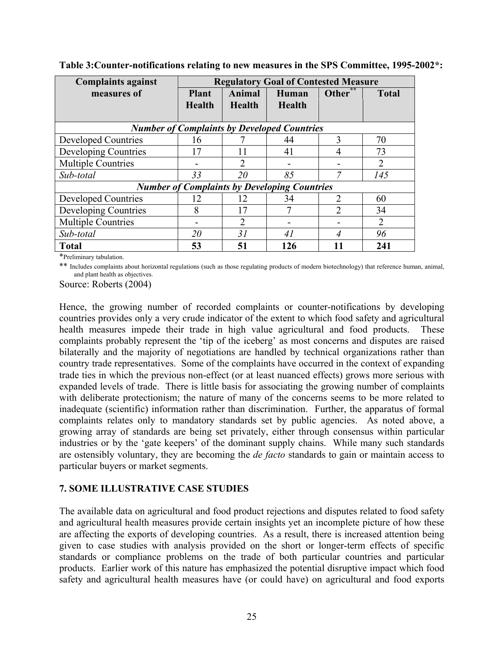| <b>Complaints against</b>                           | <b>Regulatory Goal of Contested Measure</b> |                         |                        |                |              |  |
|-----------------------------------------------------|---------------------------------------------|-------------------------|------------------------|----------------|--------------|--|
| measures of                                         | <b>Plant</b><br><b>Health</b>               | Animal<br><b>Health</b> | Human<br><b>Health</b> | Other          | <b>Total</b> |  |
|                                                     |                                             |                         |                        |                |              |  |
| <b>Number of Complaints by Developed Countries</b>  |                                             |                         |                        |                |              |  |
| <b>Developed Countries</b>                          | 16                                          |                         | 44                     | $\mathbf{3}$   | 70           |  |
| Developing Countries                                | 17                                          | 11                      | 41                     | 4              | 73           |  |
| <b>Multiple Countries</b>                           |                                             |                         |                        |                | 2            |  |
| Sub-total                                           | 33                                          | 20                      | 85                     |                | 145          |  |
| <b>Number of Complaints by Developing Countries</b> |                                             |                         |                        |                |              |  |
| <b>Developed Countries</b>                          | 12                                          | 12                      | 34                     | $\overline{2}$ | 60           |  |
| Developing Countries                                | 8                                           | 17                      | 7                      | ∍              | 34           |  |
| <b>Multiple Countries</b>                           |                                             | 2                       |                        |                | 2            |  |
| Sub-total                                           | 20                                          | 31                      | 41                     |                | 96           |  |
| <b>Total</b>                                        | 53                                          | 51                      | 126                    |                | 241          |  |

**Table 3:Counter-notifications relating to new measures in the SPS Committee, 1995-2002\*:** 

\*Preliminary tabulation.

\*\* Includes complaints about horizontal regulations (such as those regulating products of modern biotechnology) that reference human, animal, and plant health as objectives.

Source: Roberts (2004)

Hence, the growing number of recorded complaints or counter-notifications by developing countries provides only a very crude indicator of the extent to which food safety and agricultural health measures impede their trade in high value agricultural and food products. These complaints probably represent the 'tip of the iceberg' as most concerns and disputes are raised bilaterally and the majority of negotiations are handled by technical organizations rather than country trade representatives. Some of the complaints have occurred in the context of expanding trade ties in which the previous non-effect (or at least nuanced effects) grows more serious with expanded levels of trade. There is little basis for associating the growing number of complaints with deliberate protectionism; the nature of many of the concerns seems to be more related to inadequate (scientific) information rather than discrimination. Further, the apparatus of formal complaints relates only to mandatory standards set by public agencies. As noted above, a growing array of standards are being set privately, either through consensus within particular industries or by the 'gate keepers' of the dominant supply chains. While many such standards are ostensibly voluntary, they are becoming the *de facto* standards to gain or maintain access to particular buyers or market segments.

#### **7. SOME ILLUSTRATIVE CASE STUDIES**

The available data on agricultural and food product rejections and disputes related to food safety and agricultural health measures provide certain insights yet an incomplete picture of how these are affecting the exports of developing countries. As a result, there is increased attention being given to case studies with analysis provided on the short or longer-term effects of specific standards or compliance problems on the trade of both particular countries and particular products. Earlier work of this nature has emphasized the potential disruptive impact which food safety and agricultural health measures have (or could have) on agricultural and food exports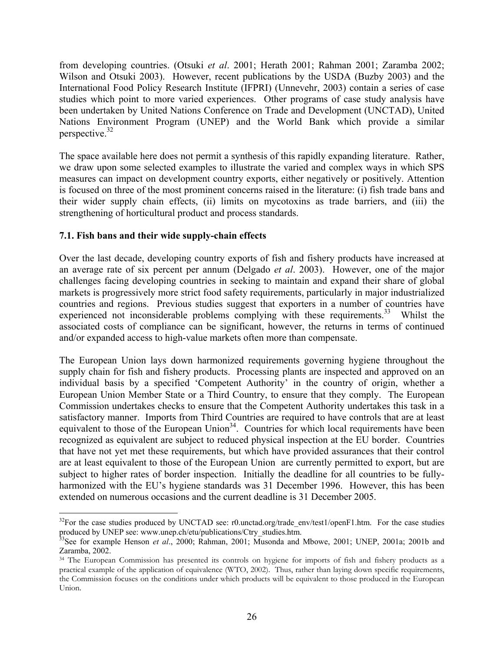from developing countries. (Otsuki *et al*. 2001; Herath 2001; Rahman 2001; Zaramba 2002; Wilson and Otsuki 2003). However, recent publications by the USDA (Buzby 2003) and the International Food Policy Research Institute (IFPRI) (Unnevehr, 2003) contain a series of case studies which point to more varied experiences. Other programs of case study analysis have been undertaken by United Nations Conference on Trade and Development (UNCTAD), United Nations Environment Program (UNEP) and the World Bank which provide a similar perspective.32

The space available here does not permit a synthesis of this rapidly expanding literature. Rather, we draw upon some selected examples to illustrate the varied and complex ways in which SPS measures can impact on development country exports, either negatively or positively. Attention is focused on three of the most prominent concerns raised in the literature: (i) fish trade bans and their wider supply chain effects, (ii) limits on mycotoxins as trade barriers, and (iii) the strengthening of horticultural product and process standards.

# **7.1. Fish bans and their wide supply-chain effects**

Over the last decade, developing country exports of fish and fishery products have increased at an average rate of six percent per annum (Delgado *et al*. 2003). However, one of the major challenges facing developing countries in seeking to maintain and expand their share of global markets is progressively more strict food safety requirements, particularly in major industrialized countries and regions. Previous studies suggest that exporters in a number of countries have experienced not inconsiderable problems complying with these requirements.<sup>33</sup> Whilst the associated costs of compliance can be significant, however, the returns in terms of continued and/or expanded access to high-value markets often more than compensate.

The European Union lays down harmonized requirements governing hygiene throughout the supply chain for fish and fishery products. Processing plants are inspected and approved on an individual basis by a specified 'Competent Authority' in the country of origin, whether a European Union Member State or a Third Country, to ensure that they comply. The European Commission undertakes checks to ensure that the Competent Authority undertakes this task in a satisfactory manner. Imports from Third Countries are required to have controls that are at least equivalent to those of the European Union<sup>34</sup>. Countries for which local requirements have been recognized as equivalent are subject to reduced physical inspection at the EU border. Countries that have not yet met these requirements, but which have provided assurances that their control are at least equivalent to those of the European Union are currently permitted to export, but are subject to higher rates of border inspection. Initially the deadline for all countries to be fullyharmonized with the EU's hygiene standards was 31 December 1996. However, this has been extended on numerous occasions and the current deadline is 31 December 2005.

<sup>&</sup>lt;u>.</u>  $32$ For the case studies produced by UNCTAD see: r0.unctad.org/trade\_env/test1/openF1.htm. For the case studies produced by UNEP see: www.unep.ch/etu/publications/Ctry\_studies.htm.

<sup>&</sup>lt;sup>33</sup>See for example Henson *et al.*, 2000; Rahman, 2001; Musonda and Mbowe, 2001; UNEP, 2001a; 2001b and Zaramba, 2002.

<sup>&</sup>lt;sup>34</sup> The European Commission has presented its controls on hygiene for imports of fish and fishery products as a practical example of the application of equivalence (WTO, 2002). Thus, rather than laying down specific requirements, the Commission focuses on the conditions under which products will be equivalent to those produced in the European Union.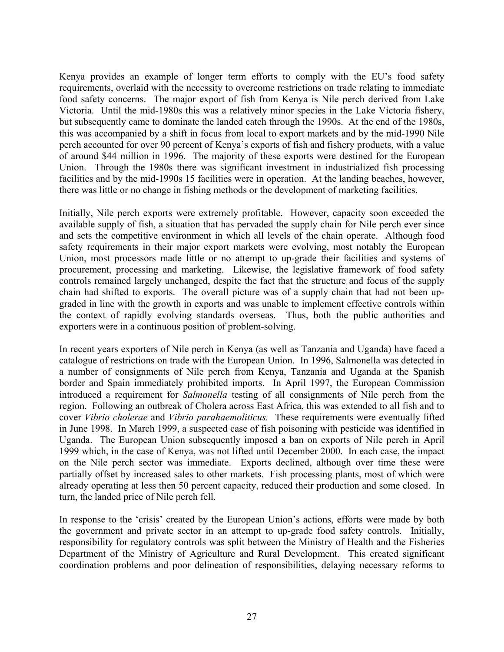Kenya provides an example of longer term efforts to comply with the EU's food safety requirements, overlaid with the necessity to overcome restrictions on trade relating to immediate food safety concerns. The major export of fish from Kenya is Nile perch derived from Lake Victoria. Until the mid-1980s this was a relatively minor species in the Lake Victoria fishery, but subsequently came to dominate the landed catch through the 1990s. At the end of the 1980s, this was accompanied by a shift in focus from local to export markets and by the mid-1990 Nile perch accounted for over 90 percent of Kenya's exports of fish and fishery products, with a value of around \$44 million in 1996. The majority of these exports were destined for the European Union. Through the 1980s there was significant investment in industrialized fish processing facilities and by the mid-1990s 15 facilities were in operation. At the landing beaches, however, there was little or no change in fishing methods or the development of marketing facilities.

Initially, Nile perch exports were extremely profitable. However, capacity soon exceeded the available supply of fish, a situation that has pervaded the supply chain for Nile perch ever since and sets the competitive environment in which all levels of the chain operate. Although food safety requirements in their major export markets were evolving, most notably the European Union, most processors made little or no attempt to up-grade their facilities and systems of procurement, processing and marketing. Likewise, the legislative framework of food safety controls remained largely unchanged, despite the fact that the structure and focus of the supply chain had shifted to exports. The overall picture was of a supply chain that had not been upgraded in line with the growth in exports and was unable to implement effective controls within the context of rapidly evolving standards overseas. Thus, both the public authorities and exporters were in a continuous position of problem-solving.

In recent years exporters of Nile perch in Kenya (as well as Tanzania and Uganda) have faced a catalogue of restrictions on trade with the European Union. In 1996, Salmonella was detected in a number of consignments of Nile perch from Kenya, Tanzania and Uganda at the Spanish border and Spain immediately prohibited imports. In April 1997, the European Commission introduced a requirement for *Salmonella* testing of all consignments of Nile perch from the region. Following an outbreak of Cholera across East Africa, this was extended to all fish and to cover *Vibrio cholerae* and *Vibrio parahaemoliticus.* These requirements were eventually lifted in June 1998. In March 1999, a suspected case of fish poisoning with pesticide was identified in Uganda. The European Union subsequently imposed a ban on exports of Nile perch in April 1999 which, in the case of Kenya, was not lifted until December 2000. In each case, the impact on the Nile perch sector was immediate. Exports declined, although over time these were partially offset by increased sales to other markets. Fish processing plants, most of which were already operating at less then 50 percent capacity, reduced their production and some closed. In turn, the landed price of Nile perch fell.

In response to the 'crisis' created by the European Union's actions, efforts were made by both the government and private sector in an attempt to up-grade food safety controls. Initially, responsibility for regulatory controls was split between the Ministry of Health and the Fisheries Department of the Ministry of Agriculture and Rural Development. This created significant coordination problems and poor delineation of responsibilities, delaying necessary reforms to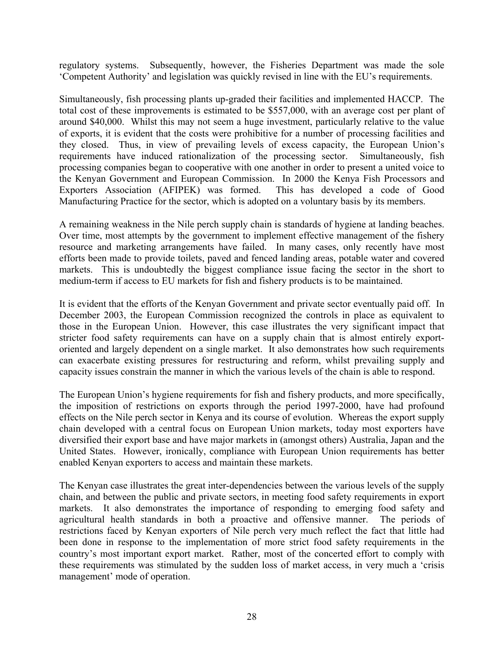regulatory systems. Subsequently, however, the Fisheries Department was made the sole 'Competent Authority' and legislation was quickly revised in line with the EU's requirements.

Simultaneously, fish processing plants up-graded their facilities and implemented HACCP. The total cost of these improvements is estimated to be \$557,000, with an average cost per plant of around \$40,000. Whilst this may not seem a huge investment, particularly relative to the value of exports, it is evident that the costs were prohibitive for a number of processing facilities and they closed. Thus, in view of prevailing levels of excess capacity, the European Union's requirements have induced rationalization of the processing sector. Simultaneously, fish processing companies began to cooperative with one another in order to present a united voice to the Kenyan Government and European Commission. In 2000 the Kenya Fish Processors and Exporters Association (AFIPEK) was formed. This has developed a code of Good Manufacturing Practice for the sector, which is adopted on a voluntary basis by its members.

A remaining weakness in the Nile perch supply chain is standards of hygiene at landing beaches. Over time, most attempts by the government to implement effective management of the fishery resource and marketing arrangements have failed. In many cases, only recently have most efforts been made to provide toilets, paved and fenced landing areas, potable water and covered markets. This is undoubtedly the biggest compliance issue facing the sector in the short to medium-term if access to EU markets for fish and fishery products is to be maintained.

It is evident that the efforts of the Kenyan Government and private sector eventually paid off. In December 2003, the European Commission recognized the controls in place as equivalent to those in the European Union. However, this case illustrates the very significant impact that stricter food safety requirements can have on a supply chain that is almost entirely exportoriented and largely dependent on a single market. It also demonstrates how such requirements can exacerbate existing pressures for restructuring and reform, whilst prevailing supply and capacity issues constrain the manner in which the various levels of the chain is able to respond.

The European Union's hygiene requirements for fish and fishery products, and more specifically, the imposition of restrictions on exports through the period 1997-2000, have had profound effects on the Nile perch sector in Kenya and its course of evolution. Whereas the export supply chain developed with a central focus on European Union markets, today most exporters have diversified their export base and have major markets in (amongst others) Australia, Japan and the United States. However, ironically, compliance with European Union requirements has better enabled Kenyan exporters to access and maintain these markets.

The Kenyan case illustrates the great inter-dependencies between the various levels of the supply chain, and between the public and private sectors, in meeting food safety requirements in export markets. It also demonstrates the importance of responding to emerging food safety and agricultural health standards in both a proactive and offensive manner. The periods of restrictions faced by Kenyan exporters of Nile perch very much reflect the fact that little had been done in response to the implementation of more strict food safety requirements in the country's most important export market. Rather, most of the concerted effort to comply with these requirements was stimulated by the sudden loss of market access, in very much a 'crisis management' mode of operation.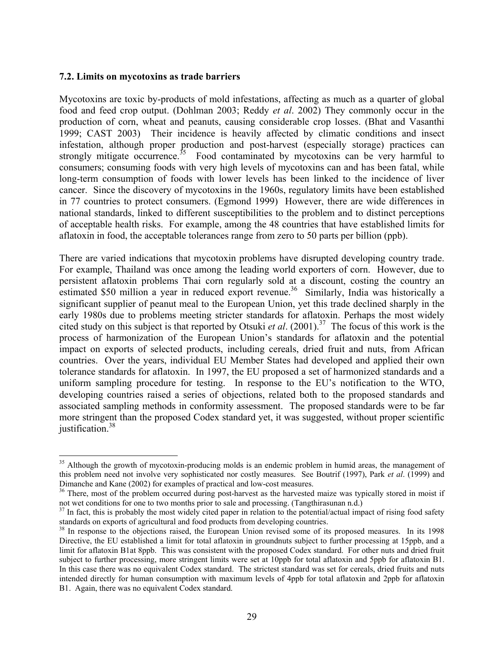#### **7.2. Limits on mycotoxins as trade barriers**

1

Mycotoxins are toxic by-products of mold infestations, affecting as much as a quarter of global food and feed crop output. (Dohlman 2003; Reddy *et al*. 2002) They commonly occur in the production of corn, wheat and peanuts, causing considerable crop losses. (Bhat and Vasanthi 1999; CAST 2003) Their incidence is heavily affected by climatic conditions and insect infestation, although proper production and post-harvest (especially storage) practices can strongly mitigate occurrence.<sup>35</sup> Food contaminated by mycotoxins can be very harmful to consumers; consuming foods with very high levels of mycotoxins can and has been fatal, while long-term consumption of foods with lower levels has been linked to the incidence of liver cancer. Since the discovery of mycotoxins in the 1960s, regulatory limits have been established in 77 countries to protect consumers. (Egmond 1999) However, there are wide differences in national standards, linked to different susceptibilities to the problem and to distinct perceptions of acceptable health risks. For example, among the 48 countries that have established limits for aflatoxin in food, the acceptable tolerances range from zero to 50 parts per billion (ppb).

There are varied indications that mycotoxin problems have disrupted developing country trade. For example, Thailand was once among the leading world exporters of corn. However, due to persistent aflatoxin problems Thai corn regularly sold at a discount, costing the country an estimated \$50 million a year in reduced export revenue.<sup>36</sup> Similarly, India was historically a significant supplier of peanut meal to the European Union, yet this trade declined sharply in the early 1980s due to problems meeting stricter standards for aflatoxin. Perhaps the most widely cited study on this subject is that reported by Otsuki *et al*. (2001).37 The focus of this work is the process of harmonization of the European Union's standards for aflatoxin and the potential impact on exports of selected products, including cereals, dried fruit and nuts, from African countries. Over the years, individual EU Member States had developed and applied their own tolerance standards for aflatoxin. In 1997, the EU proposed a set of harmonized standards and a uniform sampling procedure for testing. In response to the EU's notification to the WTO, developing countries raised a series of objections, related both to the proposed standards and associated sampling methods in conformity assessment. The proposed standards were to be far more stringent than the proposed Codex standard yet, it was suggested, without proper scientific justification. $38$ 

<sup>&</sup>lt;sup>35</sup> Although the growth of mycotoxin-producing molds is an endemic problem in humid areas, the management of this problem need not involve very sophisticated nor costly measures. See Boutrif (1997), Park *et al*. (1999) and Dimanche and Kane (2002) for examples of practical and low-cost measures.

<sup>&</sup>lt;sup>36</sup> There, most of the problem occurred during post-harvest as the harvested maize was typically stored in moist if not wet conditions for one to two months prior to sale and processing. (Tangthirasunan n.d.)

 $37$  In fact, this is probably the most widely cited paper in relation to the potential/actual impact of rising food safety standards on exports of agricultural and food products from developing countries.

<sup>&</sup>lt;sup>38</sup> In response to the objections raised, the European Union revised some of its proposed measures. In its 1998 Directive, the EU established a limit for total aflatoxin in groundnuts subject to further processing at 15ppb, and a limit for aflatoxin B1at 8ppb. This was consistent with the proposed Codex standard. For other nuts and dried fruit subject to further processing, more stringent limits were set at 10ppb for total aflatoxin and 5ppb for aflatoxin B1. In this case there was no equivalent Codex standard. The strictest standard was set for cereals, dried fruits and nuts intended directly for human consumption with maximum levels of 4ppb for total aflatoxin and 2ppb for aflatoxin B1. Again, there was no equivalent Codex standard.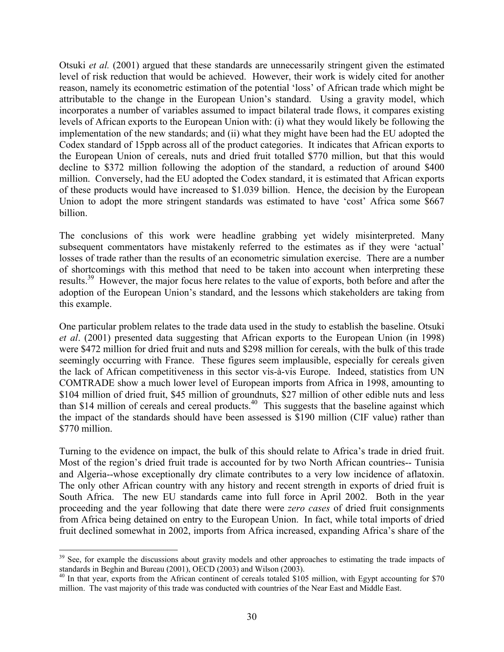Otsuki *et al.* (2001) argued that these standards are unnecessarily stringent given the estimated level of risk reduction that would be achieved. However, their work is widely cited for another reason, namely its econometric estimation of the potential 'loss' of African trade which might be attributable to the change in the European Union's standard. Using a gravity model, which incorporates a number of variables assumed to impact bilateral trade flows, it compares existing levels of African exports to the European Union with: (i) what they would likely be following the implementation of the new standards; and (ii) what they might have been had the EU adopted the Codex standard of 15ppb across all of the product categories. It indicates that African exports to the European Union of cereals, nuts and dried fruit totalled \$770 million, but that this would decline to \$372 million following the adoption of the standard, a reduction of around \$400 million. Conversely, had the EU adopted the Codex standard, it is estimated that African exports of these products would have increased to \$1.039 billion. Hence, the decision by the European Union to adopt the more stringent standards was estimated to have 'cost' Africa some \$667 billion.

The conclusions of this work were headline grabbing yet widely misinterpreted. Many subsequent commentators have mistakenly referred to the estimates as if they were 'actual' losses of trade rather than the results of an econometric simulation exercise. There are a number of shortcomings with this method that need to be taken into account when interpreting these results.<sup>39</sup> However, the major focus here relates to the value of exports, both before and after the adoption of the European Union's standard, and the lessons which stakeholders are taking from this example.

One particular problem relates to the trade data used in the study to establish the baseline. Otsuki *et al*. (2001) presented data suggesting that African exports to the European Union (in 1998) were \$472 million for dried fruit and nuts and \$298 million for cereals, with the bulk of this trade seemingly occurring with France. These figures seem implausible, especially for cereals given the lack of African competitiveness in this sector vis-à-vis Europe. Indeed, statistics from UN COMTRADE show a much lower level of European imports from Africa in 1998, amounting to \$104 million of dried fruit, \$45 million of groundnuts, \$27 million of other edible nuts and less than \$14 million of cereals and cereal products.<sup>40</sup> This suggests that the baseline against which the impact of the standards should have been assessed is \$190 million (CIF value) rather than \$770 million.

Turning to the evidence on impact, the bulk of this should relate to Africa's trade in dried fruit. Most of the region's dried fruit trade is accounted for by two North African countries-- Tunisia and Algeria--whose exceptionally dry climate contributes to a very low incidence of aflatoxin. The only other African country with any history and recent strength in exports of dried fruit is South Africa. The new EU standards came into full force in April 2002. Both in the year proceeding and the year following that date there were *zero cases* of dried fruit consignments from Africa being detained on entry to the European Union. In fact, while total imports of dried fruit declined somewhat in 2002, imports from Africa increased, expanding Africa's share of the

<sup>&</sup>lt;sup>39</sup> See, for example the discussions about gravity models and other approaches to estimating the trade impacts of standards in Beghin and Bureau (2001), OECD (2003) and Wilson (2003).

<sup>&</sup>lt;sup>40</sup> In that year, exports from the African continent of cereals totaled \$105 million, with Egypt accounting for \$70 million. The vast majority of this trade was conducted with countries of the Near East and Middle East.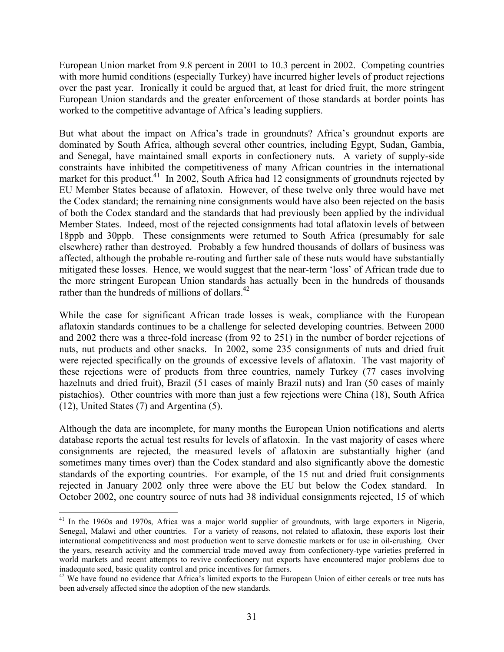European Union market from 9.8 percent in 2001 to 10.3 percent in 2002. Competing countries with more humid conditions (especially Turkey) have incurred higher levels of product rejections over the past year. Ironically it could be argued that, at least for dried fruit, the more stringent European Union standards and the greater enforcement of those standards at border points has worked to the competitive advantage of Africa's leading suppliers.

But what about the impact on Africa's trade in groundnuts? Africa's groundnut exports are dominated by South Africa, although several other countries, including Egypt, Sudan, Gambia, and Senegal, have maintained small exports in confectionery nuts. A variety of supply-side constraints have inhibited the competitiveness of many African countries in the international market for this product.<sup>41</sup> In 2002, South Africa had 12 consignments of groundnuts rejected by EU Member States because of aflatoxin. However, of these twelve only three would have met the Codex standard; the remaining nine consignments would have also been rejected on the basis of both the Codex standard and the standards that had previously been applied by the individual Member States. Indeed, most of the rejected consignments had total aflatoxin levels of between 18ppb and 30ppb. These consignments were returned to South Africa (presumably for sale elsewhere) rather than destroyed. Probably a few hundred thousands of dollars of business was affected, although the probable re-routing and further sale of these nuts would have substantially mitigated these losses. Hence, we would suggest that the near-term 'loss' of African trade due to the more stringent European Union standards has actually been in the hundreds of thousands rather than the hundreds of millions of dollars.<sup>42</sup>

While the case for significant African trade losses is weak, compliance with the European aflatoxin standards continues to be a challenge for selected developing countries. Between 2000 and 2002 there was a three-fold increase (from 92 to 251) in the number of border rejections of nuts, nut products and other snacks. In 2002, some 235 consignments of nuts and dried fruit were rejected specifically on the grounds of excessive levels of aflatoxin. The vast majority of these rejections were of products from three countries, namely Turkey (77 cases involving hazelnuts and dried fruit), Brazil (51 cases of mainly Brazil nuts) and Iran (50 cases of mainly pistachios). Other countries with more than just a few rejections were China (18), South Africa (12), United States (7) and Argentina (5).

Although the data are incomplete, for many months the European Union notifications and alerts database reports the actual test results for levels of aflatoxin. In the vast majority of cases where consignments are rejected, the measured levels of aflatoxin are substantially higher (and sometimes many times over) than the Codex standard and also significantly above the domestic standards of the exporting countries. For example, of the 15 nut and dried fruit consignments rejected in January 2002 only three were above the EU but below the Codex standard. In October 2002, one country source of nuts had 38 individual consignments rejected, 15 of which

<sup>&</sup>lt;sup>41</sup> In the 1960s and 1970s, Africa was a major world supplier of groundnuts, with large exporters in Nigeria, Senegal, Malawi and other countries. For a variety of reasons, not related to aflatoxin, these exports lost their international competitiveness and most production went to serve domestic markets or for use in oil-crushing. Over the years, research activity and the commercial trade moved away from confectionery-type varieties preferred in world markets and recent attempts to revive confectionery nut exports have encountered major problems due to inadequate seed, basic quality control and price incentives for farmers.

<sup>&</sup>lt;sup>42</sup> We have found no evidence that Africa's limited exports to the European Union of either cereals or tree nuts has been adversely affected since the adoption of the new standards.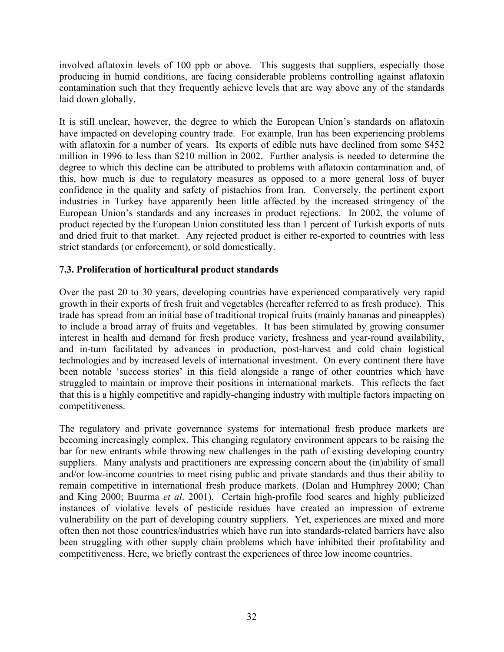involved aflatoxin levels of 100 ppb or above. This suggests that suppliers, especially those producing in humid conditions, are facing considerable problems controlling against aflatoxin contamination such that they frequently achieve levels that are way above any of the standards laid down globally.

It is still unclear, however, the degree to which the European Union's standards on aflatoxin have impacted on developing country trade. For example, Iran has been experiencing problems with aflatoxin for a number of years. Its exports of edible nuts have declined from some \$452 million in 1996 to less than \$210 million in 2002. Further analysis is needed to determine the degree to which this decline can be attributed to problems with aflatoxin contamination and, of this, how much is due to regulatory measures as opposed to a more general loss of buyer confidence in the quality and safety of pistachios from Iran. Conversely, the pertinent export industries in Turkey have apparently been little affected by the increased stringency of the European Union's standards and any increases in product rejections. In 2002, the volume of product rejected by the European Union constituted less than 1 percent of Turkish exports of nuts and dried fruit to that market. Any rejected product is either re-exported to countries with less strict standards (or enforcement), or sold domestically.

# **7.3. Proliferation of horticultural product standards**

Over the past 20 to 30 years, developing countries have experienced comparatively very rapid growth in their exports of fresh fruit and vegetables (hereafter referred to as fresh produce). This trade has spread from an initial base of traditional tropical fruits (mainly bananas and pineapples) to include a broad array of fruits and vegetables. It has been stimulated by growing consumer interest in health and demand for fresh produce variety, freshness and year-round availability, and in-turn facilitated by advances in production, post-harvest and cold chain logistical technologies and by increased levels of international investment. On every continent there have been notable 'success stories' in this field alongside a range of other countries which have struggled to maintain or improve their positions in international markets. This reflects the fact that this is a highly competitive and rapidly-changing industry with multiple factors impacting on competitiveness.

The regulatory and private governance systems for international fresh produce markets are becoming increasingly complex. This changing regulatory environment appears to be raising the bar for new entrants while throwing new challenges in the path of existing developing country suppliers. Many analysts and practitioners are expressing concern about the (in)ability of small and/or low-income countries to meet rising public and private standards and thus their ability to remain competitive in international fresh produce markets. (Dolan and Humphrey 2000; Chan and King 2000; Buurma *et al*. 2001). Certain high-profile food scares and highly publicized instances of violative levels of pesticide residues have created an impression of extreme vulnerability on the part of developing country suppliers. Yet, experiences are mixed and more often then not those countries/industries which have run into standards-related barriers have also been struggling with other supply chain problems which have inhibited their profitability and competitiveness. Here, we briefly contrast the experiences of three low income countries.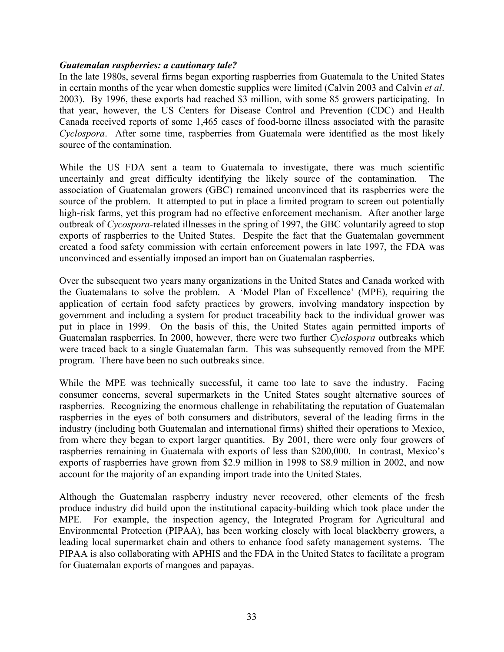#### *Guatemalan raspberries: a cautionary tale?*

In the late 1980s, several firms began exporting raspberries from Guatemala to the United States in certain months of the year when domestic supplies were limited (Calvin 2003 and Calvin *et al*. 2003). By 1996, these exports had reached \$3 million, with some 85 growers participating. In that year, however, the US Centers for Disease Control and Prevention (CDC) and Health Canada received reports of some 1,465 cases of food-borne illness associated with the parasite *Cyclospora*. After some time, raspberries from Guatemala were identified as the most likely source of the contamination.

While the US FDA sent a team to Guatemala to investigate, there was much scientific uncertainly and great difficulty identifying the likely source of the contamination. The association of Guatemalan growers (GBC) remained unconvinced that its raspberries were the source of the problem. It attempted to put in place a limited program to screen out potentially high-risk farms, yet this program had no effective enforcement mechanism. After another large outbreak of *Cycospora*-related illnesses in the spring of 1997, the GBC voluntarily agreed to stop exports of raspberries to the United States. Despite the fact that the Guatemalan government created a food safety commission with certain enforcement powers in late 1997, the FDA was unconvinced and essentially imposed an import ban on Guatemalan raspberries.

Over the subsequent two years many organizations in the United States and Canada worked with the Guatemalans to solve the problem. A 'Model Plan of Excellence' (MPE), requiring the application of certain food safety practices by growers, involving mandatory inspection by government and including a system for product traceability back to the individual grower was put in place in 1999. On the basis of this, the United States again permitted imports of Guatemalan raspberries. In 2000, however, there were two further *Cyclospora* outbreaks which were traced back to a single Guatemalan farm. This was subsequently removed from the MPE program. There have been no such outbreaks since.

While the MPE was technically successful, it came too late to save the industry. Facing consumer concerns, several supermarkets in the United States sought alternative sources of raspberries. Recognizing the enormous challenge in rehabilitating the reputation of Guatemalan raspberries in the eyes of both consumers and distributors, several of the leading firms in the industry (including both Guatemalan and international firms) shifted their operations to Mexico, from where they began to export larger quantities. By 2001, there were only four growers of raspberries remaining in Guatemala with exports of less than \$200,000. In contrast, Mexico's exports of raspberries have grown from \$2.9 million in 1998 to \$8.9 million in 2002, and now account for the majority of an expanding import trade into the United States.

Although the Guatemalan raspberry industry never recovered, other elements of the fresh produce industry did build upon the institutional capacity-building which took place under the MPE. For example, the inspection agency, the Integrated Program for Agricultural and Environmental Protection (PIPAA), has been working closely with local blackberry growers, a leading local supermarket chain and others to enhance food safety management systems. The PIPAA is also collaborating with APHIS and the FDA in the United States to facilitate a program for Guatemalan exports of mangoes and papayas.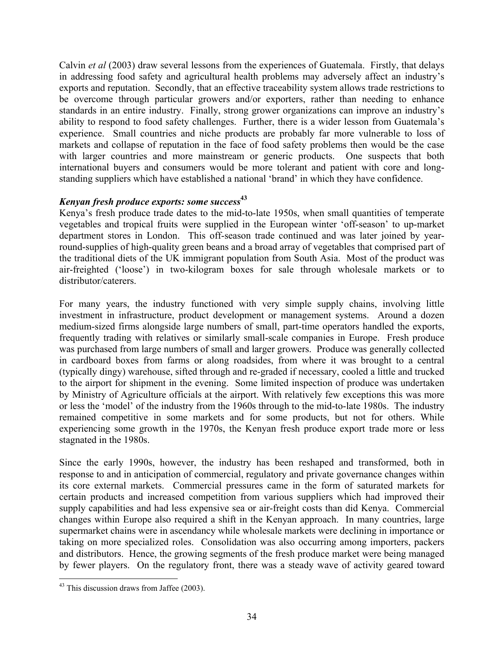Calvin *et al* (2003) draw several lessons from the experiences of Guatemala. Firstly, that delays in addressing food safety and agricultural health problems may adversely affect an industry's exports and reputation. Secondly, that an effective traceability system allows trade restrictions to be overcome through particular growers and/or exporters, rather than needing to enhance standards in an entire industry. Finally, strong grower organizations can improve an industry's ability to respond to food safety challenges. Further, there is a wider lesson from Guatemala's experience. Small countries and niche products are probably far more vulnerable to loss of markets and collapse of reputation in the face of food safety problems then would be the case with larger countries and more mainstream or generic products. One suspects that both international buyers and consumers would be more tolerant and patient with core and longstanding suppliers which have established a national 'brand' in which they have confidence.

# *Kenyan fresh produce exports: some success***<sup>43</sup>**

Kenya's fresh produce trade dates to the mid-to-late 1950s, when small quantities of temperate vegetables and tropical fruits were supplied in the European winter 'off-season' to up-market department stores in London. This off-season trade continued and was later joined by yearround-supplies of high-quality green beans and a broad array of vegetables that comprised part of the traditional diets of the UK immigrant population from South Asia. Most of the product was air-freighted ('loose') in two-kilogram boxes for sale through wholesale markets or to distributor/caterers.

For many years, the industry functioned with very simple supply chains, involving little investment in infrastructure, product development or management systems. Around a dozen medium-sized firms alongside large numbers of small, part-time operators handled the exports, frequently trading with relatives or similarly small-scale companies in Europe. Fresh produce was purchased from large numbers of small and larger growers. Produce was generally collected in cardboard boxes from farms or along roadsides, from where it was brought to a central (typically dingy) warehouse, sifted through and re-graded if necessary, cooled a little and trucked to the airport for shipment in the evening. Some limited inspection of produce was undertaken by Ministry of Agriculture officials at the airport. With relatively few exceptions this was more or less the 'model' of the industry from the 1960s through to the mid-to-late 1980s. The industry remained competitive in some markets and for some products, but not for others. While experiencing some growth in the 1970s, the Kenyan fresh produce export trade more or less stagnated in the 1980s.

Since the early 1990s, however, the industry has been reshaped and transformed, both in response to and in anticipation of commercial, regulatory and private governance changes within its core external markets. Commercial pressures came in the form of saturated markets for certain products and increased competition from various suppliers which had improved their supply capabilities and had less expensive sea or air-freight costs than did Kenya. Commercial changes within Europe also required a shift in the Kenyan approach. In many countries, large supermarket chains were in ascendancy while wholesale markets were declining in importance or taking on more specialized roles. Consolidation was also occurring among importers, packers and distributors. Hence, the growing segments of the fresh produce market were being managed by fewer players. On the regulatory front, there was a steady wave of activity geared toward

 $43$  This discussion draws from Jaffee (2003).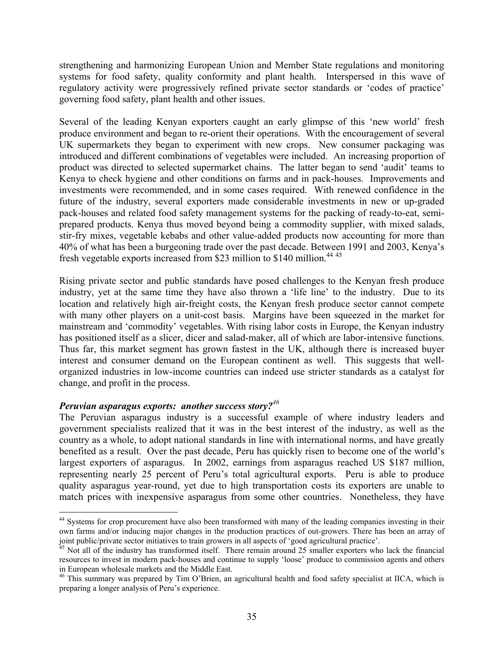strengthening and harmonizing European Union and Member State regulations and monitoring systems for food safety, quality conformity and plant health. Interspersed in this wave of regulatory activity were progressively refined private sector standards or 'codes of practice' governing food safety, plant health and other issues.

Several of the leading Kenyan exporters caught an early glimpse of this 'new world' fresh produce environment and began to re-orient their operations. With the encouragement of several UK supermarkets they began to experiment with new crops. New consumer packaging was introduced and different combinations of vegetables were included. An increasing proportion of product was directed to selected supermarket chains. The latter began to send 'audit' teams to Kenya to check hygiene and other conditions on farms and in pack-houses. Improvements and investments were recommended, and in some cases required. With renewed confidence in the future of the industry, several exporters made considerable investments in new or up-graded pack-houses and related food safety management systems for the packing of ready-to-eat, semiprepared products. Kenya thus moved beyond being a commodity supplier, with mixed salads, stir-fry mixes, vegetable kebabs and other value-added products now accounting for more than 40% of what has been a burgeoning trade over the past decade. Between 1991 and 2003, Kenya's fresh vegetable exports increased from \$23 million to \$140 million.<sup>44 45</sup>

Rising private sector and public standards have posed challenges to the Kenyan fresh produce industry, yet at the same time they have also thrown a 'life line' to the industry. Due to its location and relatively high air-freight costs, the Kenyan fresh produce sector cannot compete with many other players on a unit-cost basis. Margins have been squeezed in the market for mainstream and 'commodity' vegetables. With rising labor costs in Europe, the Kenyan industry has positioned itself as a slicer, dicer and salad-maker, all of which are labor-intensive functions. Thus far, this market segment has grown fastest in the UK, although there is increased buyer interest and consumer demand on the European continent as well. This suggests that wellorganized industries in low-income countries can indeed use stricter standards as a catalyst for change, and profit in the process.

#### *Peruvian asparagus exports: another success story?<sup>46</sup>*

 $\overline{a}$ 

The Peruvian asparagus industry is a successful example of where industry leaders and government specialists realized that it was in the best interest of the industry, as well as the country as a whole, to adopt national standards in line with international norms, and have greatly benefited as a result. Over the past decade, Peru has quickly risen to become one of the world's largest exporters of asparagus. In 2002, earnings from asparagus reached US \$187 million, representing nearly 25 percent of Peru's total agricultural exports. Peru is able to produce quality asparagus year-round, yet due to high transportation costs its exporters are unable to match prices with inexpensive asparagus from some other countries. Nonetheless, they have

<sup>&</sup>lt;sup>44</sup> Systems for crop procurement have also been transformed with many of the leading companies investing in their own farms and/or inducing major changes in the production practices of out-growers. There has been an array of joint public/private sector initiatives to train growers in all aspects of 'good agricultural practice'.

 $\frac{3}{45}$  Not all of the industry has transformed itself. There remain around 25 smaller exporters who lack the financial resources to invest in modern pack-houses and continue to supply 'loose' produce to commission agents and others in European wholesale markets and the Middle East. 46 This summary was prepared by Tim O'Brien, an agricultural health and food safety specialist at IICA, which is

preparing a longer analysis of Peru's experience.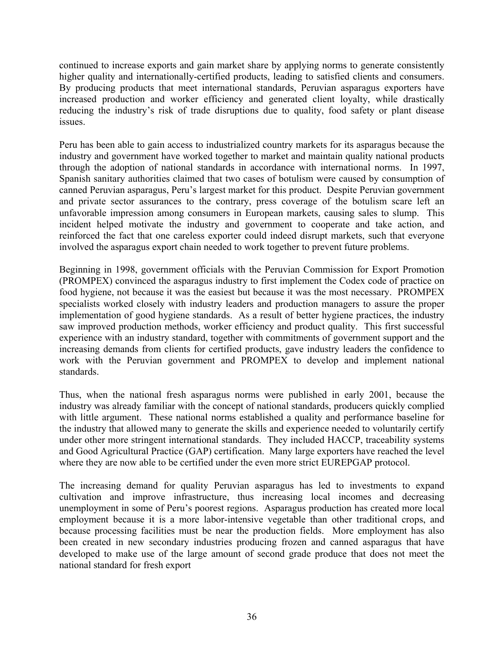continued to increase exports and gain market share by applying norms to generate consistently higher quality and internationally-certified products, leading to satisfied clients and consumers. By producing products that meet international standards, Peruvian asparagus exporters have increased production and worker efficiency and generated client loyalty, while drastically reducing the industry's risk of trade disruptions due to quality, food safety or plant disease issues.

Peru has been able to gain access to industrialized country markets for its asparagus because the industry and government have worked together to market and maintain quality national products through the adoption of national standards in accordance with international norms. In 1997, Spanish sanitary authorities claimed that two cases of botulism were caused by consumption of canned Peruvian asparagus, Peru's largest market for this product. Despite Peruvian government and private sector assurances to the contrary, press coverage of the botulism scare left an unfavorable impression among consumers in European markets, causing sales to slump. This incident helped motivate the industry and government to cooperate and take action, and reinforced the fact that one careless exporter could indeed disrupt markets, such that everyone involved the asparagus export chain needed to work together to prevent future problems.

Beginning in 1998, government officials with the Peruvian Commission for Export Promotion (PROMPEX) convinced the asparagus industry to first implement the Codex code of practice on food hygiene, not because it was the easiest but because it was the most necessary. PROMPEX specialists worked closely with industry leaders and production managers to assure the proper implementation of good hygiene standards. As a result of better hygiene practices, the industry saw improved production methods, worker efficiency and product quality. This first successful experience with an industry standard, together with commitments of government support and the increasing demands from clients for certified products, gave industry leaders the confidence to work with the Peruvian government and PROMPEX to develop and implement national standards.

Thus, when the national fresh asparagus norms were published in early 2001, because the industry was already familiar with the concept of national standards, producers quickly complied with little argument. These national norms established a quality and performance baseline for the industry that allowed many to generate the skills and experience needed to voluntarily certify under other more stringent international standards. They included HACCP, traceability systems and Good Agricultural Practice (GAP) certification. Many large exporters have reached the level where they are now able to be certified under the even more strict EUREPGAP protocol.

The increasing demand for quality Peruvian asparagus has led to investments to expand cultivation and improve infrastructure, thus increasing local incomes and decreasing unemployment in some of Peru's poorest regions. Asparagus production has created more local employment because it is a more labor-intensive vegetable than other traditional crops, and because processing facilities must be near the production fields. More employment has also been created in new secondary industries producing frozen and canned asparagus that have developed to make use of the large amount of second grade produce that does not meet the national standard for fresh export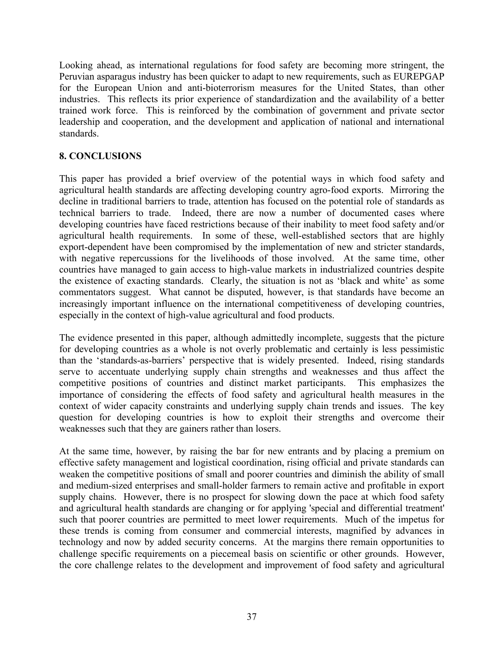Looking ahead, as international regulations for food safety are becoming more stringent, the Peruvian asparagus industry has been quicker to adapt to new requirements, such as EUREPGAP for the European Union and anti-bioterrorism measures for the United States, than other industries. This reflects its prior experience of standardization and the availability of a better trained work force. This is reinforced by the combination of government and private sector leadership and cooperation, and the development and application of national and international standards.

# **8. CONCLUSIONS**

This paper has provided a brief overview of the potential ways in which food safety and agricultural health standards are affecting developing country agro-food exports. Mirroring the decline in traditional barriers to trade, attention has focused on the potential role of standards as technical barriers to trade. Indeed, there are now a number of documented cases where developing countries have faced restrictions because of their inability to meet food safety and/or agricultural health requirements. In some of these, well-established sectors that are highly export-dependent have been compromised by the implementation of new and stricter standards, with negative repercussions for the livelihoods of those involved. At the same time, other countries have managed to gain access to high-value markets in industrialized countries despite the existence of exacting standards. Clearly, the situation is not as 'black and white' as some commentators suggest. What cannot be disputed, however, is that standards have become an increasingly important influence on the international competitiveness of developing countries, especially in the context of high-value agricultural and food products.

The evidence presented in this paper, although admittedly incomplete, suggests that the picture for developing countries as a whole is not overly problematic and certainly is less pessimistic than the 'standards-as-barriers' perspective that is widely presented. Indeed, rising standards serve to accentuate underlying supply chain strengths and weaknesses and thus affect the competitive positions of countries and distinct market participants. This emphasizes the importance of considering the effects of food safety and agricultural health measures in the context of wider capacity constraints and underlying supply chain trends and issues. The key question for developing countries is how to exploit their strengths and overcome their weaknesses such that they are gainers rather than losers.

At the same time, however, by raising the bar for new entrants and by placing a premium on effective safety management and logistical coordination, rising official and private standards can weaken the competitive positions of small and poorer countries and diminish the ability of small and medium-sized enterprises and small-holder farmers to remain active and profitable in export supply chains. However, there is no prospect for slowing down the pace at which food safety and agricultural health standards are changing or for applying 'special and differential treatment' such that poorer countries are permitted to meet lower requirements. Much of the impetus for these trends is coming from consumer and commercial interests, magnified by advances in technology and now by added security concerns. At the margins there remain opportunities to challenge specific requirements on a piecemeal basis on scientific or other grounds. However, the core challenge relates to the development and improvement of food safety and agricultural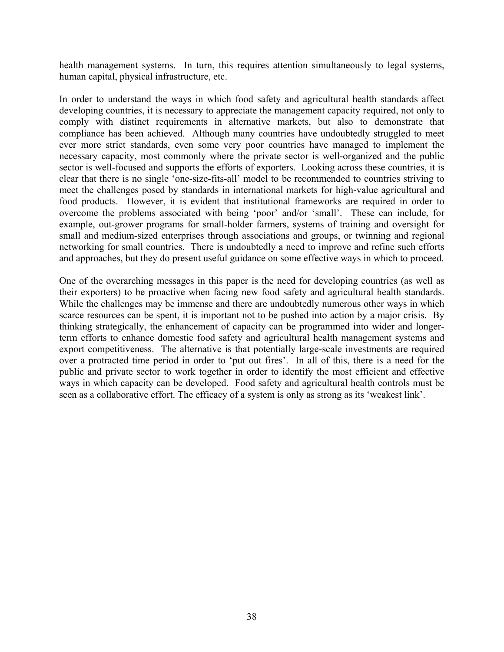health management systems. In turn, this requires attention simultaneously to legal systems, human capital, physical infrastructure, etc.

In order to understand the ways in which food safety and agricultural health standards affect developing countries, it is necessary to appreciate the management capacity required, not only to comply with distinct requirements in alternative markets, but also to demonstrate that compliance has been achieved. Although many countries have undoubtedly struggled to meet ever more strict standards, even some very poor countries have managed to implement the necessary capacity, most commonly where the private sector is well-organized and the public sector is well-focused and supports the efforts of exporters. Looking across these countries, it is clear that there is no single 'one-size-fits-all' model to be recommended to countries striving to meet the challenges posed by standards in international markets for high-value agricultural and food products. However, it is evident that institutional frameworks are required in order to overcome the problems associated with being 'poor' and/or 'small'. These can include, for example, out-grower programs for small-holder farmers, systems of training and oversight for small and medium-sized enterprises through associations and groups, or twinning and regional networking for small countries. There is undoubtedly a need to improve and refine such efforts and approaches, but they do present useful guidance on some effective ways in which to proceed.

One of the overarching messages in this paper is the need for developing countries (as well as their exporters) to be proactive when facing new food safety and agricultural health standards. While the challenges may be immense and there are undoubtedly numerous other ways in which scarce resources can be spent, it is important not to be pushed into action by a major crisis. By thinking strategically, the enhancement of capacity can be programmed into wider and longerterm efforts to enhance domestic food safety and agricultural health management systems and export competitiveness. The alternative is that potentially large-scale investments are required over a protracted time period in order to 'put out fires'. In all of this, there is a need for the public and private sector to work together in order to identify the most efficient and effective ways in which capacity can be developed. Food safety and agricultural health controls must be seen as a collaborative effort. The efficacy of a system is only as strong as its 'weakest link'.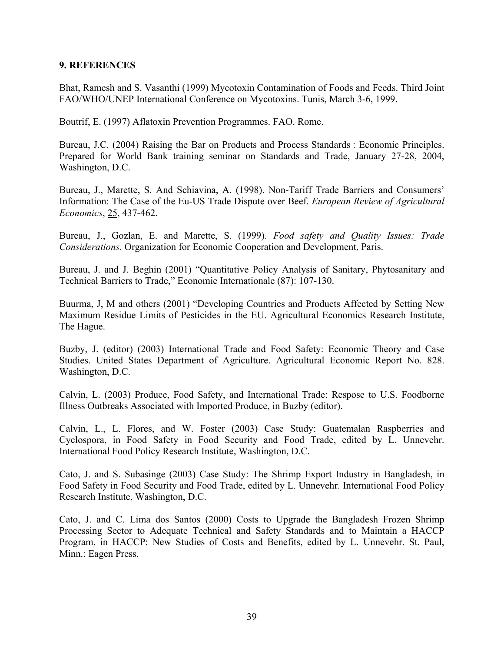#### **9. REFERENCES**

Bhat, Ramesh and S. Vasanthi (1999) Mycotoxin Contamination of Foods and Feeds. Third Joint FAO/WHO/UNEP International Conference on Mycotoxins. Tunis, March 3-6, 1999.

Boutrif, E. (1997) Aflatoxin Prevention Programmes. FAO. Rome.

Bureau, J.C. (2004) Raising the Bar on Products and Process Standards : Economic Principles. Prepared for World Bank training seminar on Standards and Trade, January 27-28, 2004, Washington, D.C.

Bureau, J., Marette, S. And Schiavina, A. (1998). Non-Tariff Trade Barriers and Consumers' Information: The Case of the Eu-US Trade Dispute over Beef. *European Review of Agricultural Economics*, 25, 437-462.

Bureau, J., Gozlan, E. and Marette, S. (1999). *Food safety and Quality Issues: Trade Considerations*. Organization for Economic Cooperation and Development, Paris.

Bureau, J. and J. Beghin (2001) "Quantitative Policy Analysis of Sanitary, Phytosanitary and Technical Barriers to Trade," Economie Internationale (87): 107-130.

Buurma, J, M and others (2001) "Developing Countries and Products Affected by Setting New Maximum Residue Limits of Pesticides in the EU. Agricultural Economics Research Institute, The Hague.

Buzby, J. (editor) (2003) International Trade and Food Safety: Economic Theory and Case Studies. United States Department of Agriculture. Agricultural Economic Report No. 828. Washington, D.C.

Calvin, L. (2003) Produce, Food Safety, and International Trade: Respose to U.S. Foodborne Illness Outbreaks Associated with Imported Produce, in Buzby (editor).

Calvin, L., L. Flores, and W. Foster (2003) Case Study: Guatemalan Raspberries and Cyclospora, in Food Safety in Food Security and Food Trade, edited by L. Unnevehr. International Food Policy Research Institute, Washington, D.C.

Cato, J. and S. Subasinge (2003) Case Study: The Shrimp Export Industry in Bangladesh, in Food Safety in Food Security and Food Trade, edited by L. Unnevehr. International Food Policy Research Institute, Washington, D.C.

Cato, J. and C. Lima dos Santos (2000) Costs to Upgrade the Bangladesh Frozen Shrimp Processing Sector to Adequate Technical and Safety Standards and to Maintain a HACCP Program, in HACCP: New Studies of Costs and Benefits, edited by L. Unnevehr. St. Paul, Minn.: Eagen Press.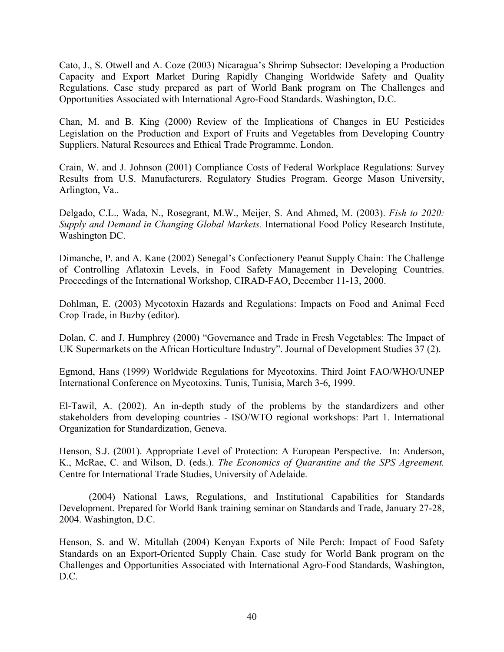Cato, J., S. Otwell and A. Coze (2003) Nicaragua's Shrimp Subsector: Developing a Production Capacity and Export Market During Rapidly Changing Worldwide Safety and Quality Regulations. Case study prepared as part of World Bank program on The Challenges and Opportunities Associated with International Agro-Food Standards. Washington, D.C.

Chan, M. and B. King (2000) Review of the Implications of Changes in EU Pesticides Legislation on the Production and Export of Fruits and Vegetables from Developing Country Suppliers. Natural Resources and Ethical Trade Programme. London.

Crain, W. and J. Johnson (2001) Compliance Costs of Federal Workplace Regulations: Survey Results from U.S. Manufacturers. Regulatory Studies Program. George Mason University, Arlington, Va..

Delgado, C.L., Wada, N., Rosegrant, M.W., Meijer, S. And Ahmed, M. (2003). *Fish to 2020: Supply and Demand in Changing Global Markets.* International Food Policy Research Institute, Washington DC.

Dimanche, P. and A. Kane (2002) Senegal's Confectionery Peanut Supply Chain: The Challenge of Controlling Aflatoxin Levels, in Food Safety Management in Developing Countries. Proceedings of the International Workshop, CIRAD-FAO, December 11-13, 2000.

Dohlman, E. (2003) Mycotoxin Hazards and Regulations: Impacts on Food and Animal Feed Crop Trade, in Buzby (editor).

Dolan, C. and J. Humphrey (2000) "Governance and Trade in Fresh Vegetables: The Impact of UK Supermarkets on the African Horticulture Industry". Journal of Development Studies 37 (2).

Egmond, Hans (1999) Worldwide Regulations for Mycotoxins. Third Joint FAO/WHO/UNEP International Conference on Mycotoxins. Tunis, Tunisia, March 3-6, 1999.

El-Tawil, A. (2002). An in-depth study of the problems by the standardizers and other stakeholders from developing countries - ISO/WTO regional workshops: Part 1. International Organization for Standardization, Geneva.

Henson, S.J. (2001). Appropriate Level of Protection: A European Perspective. In: Anderson, K., McRae, C. and Wilson, D. (eds.). *The Economics of Quarantine and the SPS Agreement.*  Centre for International Trade Studies, University of Adelaide.

 (2004) National Laws, Regulations, and Institutional Capabilities for Standards Development. Prepared for World Bank training seminar on Standards and Trade, January 27-28, 2004. Washington, D.C.

Henson, S. and W. Mitullah (2004) Kenyan Exports of Nile Perch: Impact of Food Safety Standards on an Export-Oriented Supply Chain. Case study for World Bank program on the Challenges and Opportunities Associated with International Agro-Food Standards, Washington, D.C.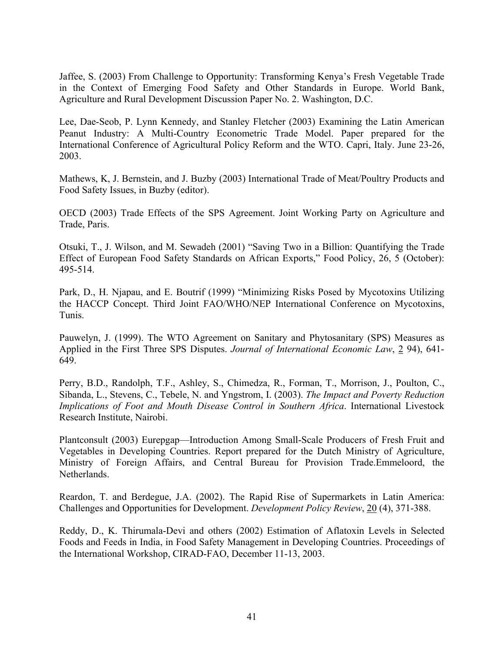Jaffee, S. (2003) From Challenge to Opportunity: Transforming Kenya's Fresh Vegetable Trade in the Context of Emerging Food Safety and Other Standards in Europe. World Bank, Agriculture and Rural Development Discussion Paper No. 2. Washington, D.C.

Lee, Dae-Seob, P. Lynn Kennedy, and Stanley Fletcher (2003) Examining the Latin American Peanut Industry: A Multi-Country Econometric Trade Model. Paper prepared for the International Conference of Agricultural Policy Reform and the WTO. Capri, Italy. June 23-26, 2003.

Mathews, K, J. Bernstein, and J. Buzby (2003) International Trade of Meat/Poultry Products and Food Safety Issues, in Buzby (editor).

OECD (2003) Trade Effects of the SPS Agreement. Joint Working Party on Agriculture and Trade, Paris.

Otsuki, T., J. Wilson, and M. Sewadeh (2001) "Saving Two in a Billion: Quantifying the Trade Effect of European Food Safety Standards on African Exports," Food Policy, 26, 5 (October): 495-514.

Park, D., H. Njapau, and E. Boutrif (1999) "Minimizing Risks Posed by Mycotoxins Utilizing the HACCP Concept. Third Joint FAO/WHO/NEP International Conference on Mycotoxins, Tunis.

Pauwelyn, J. (1999). The WTO Agreement on Sanitary and Phytosanitary (SPS) Measures as Applied in the First Three SPS Disputes. *Journal of International Economic Law*, 2 94), 641- 649.

Perry, B.D., Randolph, T.F., Ashley, S., Chimedza, R., Forman, T., Morrison, J., Poulton, C., Sibanda, L., Stevens, C., Tebele, N. and Yngstrom, I. (2003). *The Impact and Poverty Reduction Implications of Foot and Mouth Disease Control in Southern Africa*. International Livestock Research Institute, Nairobi.

Plantconsult (2003) Eurepgap—Introduction Among Small-Scale Producers of Fresh Fruit and Vegetables in Developing Countries. Report prepared for the Dutch Ministry of Agriculture, Ministry of Foreign Affairs, and Central Bureau for Provision Trade.Emmeloord, the Netherlands.

Reardon, T. and Berdegue, J.A. (2002). The Rapid Rise of Supermarkets in Latin America: Challenges and Opportunities for Development. *Development Policy Review*, 20 (4), 371-388.

Reddy, D., K. Thirumala-Devi and others (2002) Estimation of Aflatoxin Levels in Selected Foods and Feeds in India, in Food Safety Management in Developing Countries. Proceedings of the International Workshop, CIRAD-FAO, December 11-13, 2003.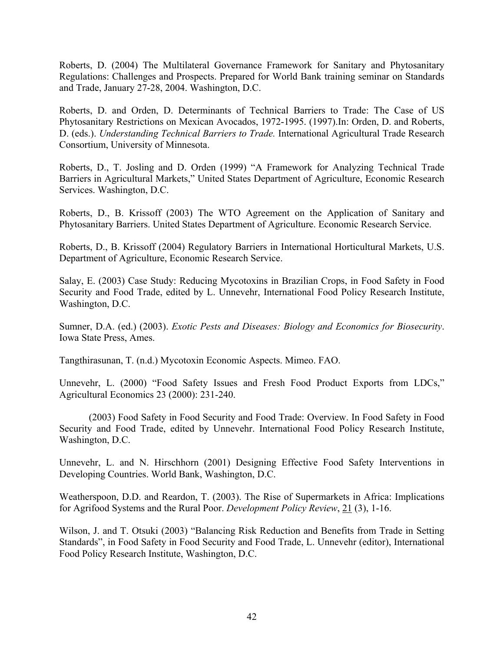Roberts, D. (2004) The Multilateral Governance Framework for Sanitary and Phytosanitary Regulations: Challenges and Prospects. Prepared for World Bank training seminar on Standards and Trade, January 27-28, 2004. Washington, D.C.

Roberts, D. and Orden, D. Determinants of Technical Barriers to Trade: The Case of US Phytosanitary Restrictions on Mexican Avocados, 1972-1995. (1997).In: Orden, D. and Roberts, D. (eds.). *Understanding Technical Barriers to Trade.* International Agricultural Trade Research Consortium, University of Minnesota.

Roberts, D., T. Josling and D. Orden (1999) "A Framework for Analyzing Technical Trade Barriers in Agricultural Markets," United States Department of Agriculture, Economic Research Services. Washington, D.C.

Roberts, D., B. Krissoff (2003) The WTO Agreement on the Application of Sanitary and Phytosanitary Barriers. United States Department of Agriculture. Economic Research Service.

Roberts, D., B. Krissoff (2004) Regulatory Barriers in International Horticultural Markets, U.S. Department of Agriculture, Economic Research Service.

Salay, E. (2003) Case Study: Reducing Mycotoxins in Brazilian Crops, in Food Safety in Food Security and Food Trade, edited by L. Unnevehr, International Food Policy Research Institute, Washington, D.C.

Sumner, D.A. (ed.) (2003). *Exotic Pests and Diseases: Biology and Economics for Biosecurity*. Iowa State Press, Ames.

Tangthirasunan, T. (n.d.) Mycotoxin Economic Aspects. Mimeo. FAO.

Unnevehr, L. (2000) "Food Safety Issues and Fresh Food Product Exports from LDCs," Agricultural Economics 23 (2000): 231-240.

 (2003) Food Safety in Food Security and Food Trade: Overview. In Food Safety in Food Security and Food Trade, edited by Unnevehr. International Food Policy Research Institute, Washington, D.C.

Unnevehr, L. and N. Hirschhorn (2001) Designing Effective Food Safety Interventions in Developing Countries. World Bank, Washington, D.C.

Weatherspoon, D.D. and Reardon, T. (2003). The Rise of Supermarkets in Africa: Implications for Agrifood Systems and the Rural Poor. *Development Policy Review*, 21 (3), 1-16.

Wilson, J. and T. Otsuki (2003) "Balancing Risk Reduction and Benefits from Trade in Setting Standards", in Food Safety in Food Security and Food Trade, L. Unnevehr (editor), International Food Policy Research Institute, Washington, D.C.